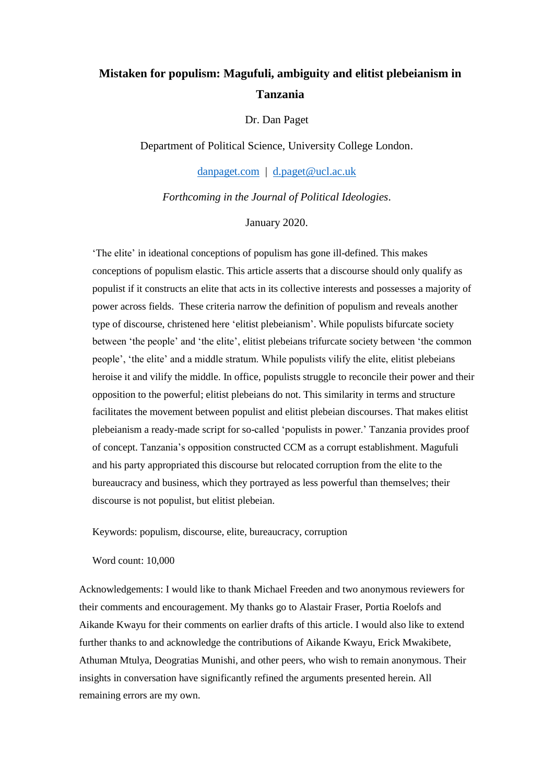# **Mistaken for populism: Magufuli, ambiguity and elitist plebeianism in Tanzania**

Dr. Dan Paget

Department of Political Science, University College London.

[danpaget.com](http://www.danpaget.com/) | [d.paget@ucl.ac.uk](mailto:d.paget@ucl.ac.uk)

*Forthcoming in the Journal of Political Ideologies*.

January 2020.

'The elite' in ideational conceptions of populism has gone ill-defined. This makes conceptions of populism elastic. This article asserts that a discourse should only qualify as populist if it constructs an elite that acts in its collective interests and possesses a majority of power across fields. These criteria narrow the definition of populism and reveals another type of discourse, christened here 'elitist plebeianism'. While populists bifurcate society between 'the people' and 'the elite', elitist plebeians trifurcate society between 'the common people', 'the elite' and a middle stratum. While populists vilify the elite, elitist plebeians heroise it and vilify the middle. In office, populists struggle to reconcile their power and their opposition to the powerful; elitist plebeians do not. This similarity in terms and structure facilitates the movement between populist and elitist plebeian discourses. That makes elitist plebeianism a ready-made script for so-called 'populists in power.' Tanzania provides proof of concept. Tanzania's opposition constructed CCM as a corrupt establishment. Magufuli and his party appropriated this discourse but relocated corruption from the elite to the bureaucracy and business, which they portrayed as less powerful than themselves; their discourse is not populist, but elitist plebeian.

Keywords: populism, discourse, elite, bureaucracy, corruption

Word count: 10,000

Acknowledgements: I would like to thank Michael Freeden and two anonymous reviewers for their comments and encouragement. My thanks go to Alastair Fraser, Portia Roelofs and Aikande Kwayu for their comments on earlier drafts of this article. I would also like to extend further thanks to and acknowledge the contributions of Aikande Kwayu, Erick Mwakibete, Athuman Mtulya, Deogratias Munishi, and other peers, who wish to remain anonymous. Their insights in conversation have significantly refined the arguments presented herein. All remaining errors are my own.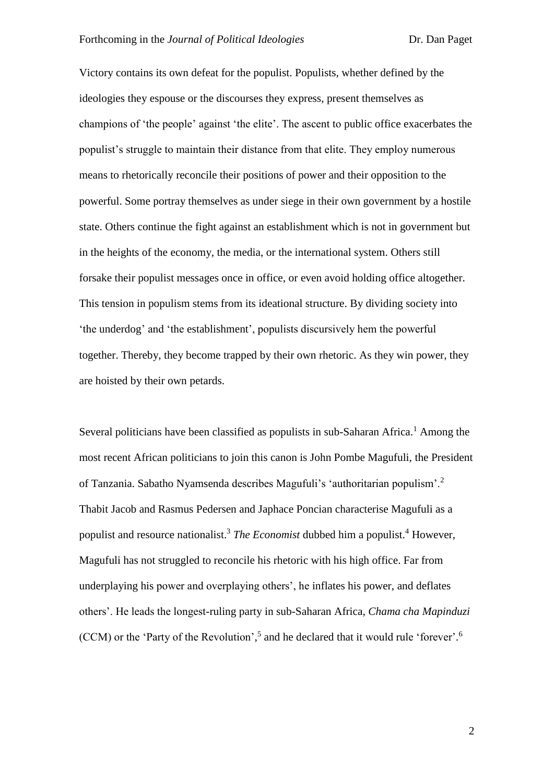Victory contains its own defeat for the populist. Populists, whether defined by the ideologies they espouse or the discourses they express, present themselves as champions of 'the people' against 'the elite'. The ascent to public office exacerbates the populist's struggle to maintain their distance from that elite. They employ numerous means to rhetorically reconcile their positions of power and their opposition to the powerful. Some portray themselves as under siege in their own government by a hostile state. Others continue the fight against an establishment which is not in government but in the heights of the economy, the media, or the international system. Others still forsake their populist messages once in office, or even avoid holding office altogether. This tension in populism stems from its ideational structure. By dividing society into 'the underdog' and 'the establishment', populists discursively hem the powerful together. Thereby, they become trapped by their own rhetoric. As they win power, they are hoisted by their own petards.

Several politicians have been classified as populists in sub-Saharan Africa.<sup>1</sup> Among the most recent African politicians to join this canon is John Pombe Magufuli, the President of Tanzania. Sabatho Nyamsenda describes Magufuli's 'authoritarian populism'.<sup>2</sup> Thabit Jacob and Rasmus Pedersen and Japhace Poncian characterise Magufuli as a populist and resource nationalist.<sup>3</sup> *The Economist* dubbed him a populist.<sup>4</sup> However, Magufuli has not struggled to reconcile his rhetoric with his high office. Far from underplaying his power and overplaying others', he inflates his power, and deflates others'. He leads the longest-ruling party in sub-Saharan Africa, *Chama cha Mapinduzi*  (CCM) or the 'Party of the Revolution', 5 and he declared that it would rule 'forever'. 6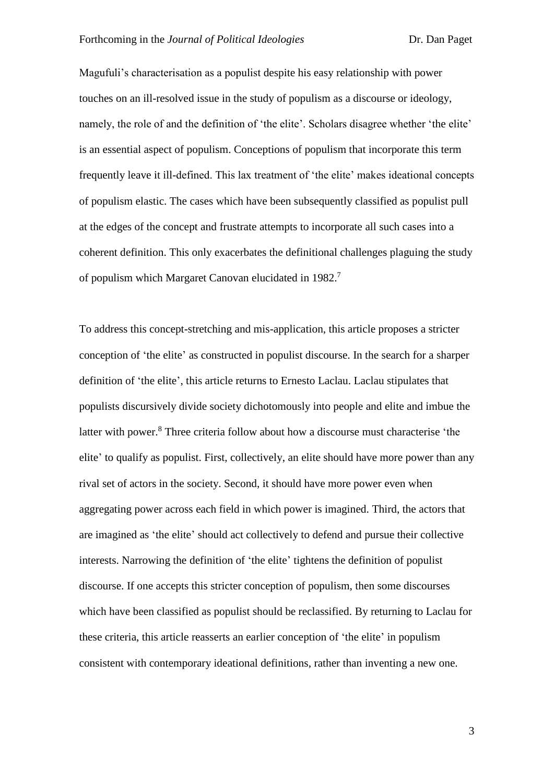Magufuli's characterisation as a populist despite his easy relationship with power touches on an ill-resolved issue in the study of populism as a discourse or ideology, namely, the role of and the definition of 'the elite'. Scholars disagree whether 'the elite' is an essential aspect of populism. Conceptions of populism that incorporate this term frequently leave it ill-defined. This lax treatment of 'the elite' makes ideational concepts of populism elastic. The cases which have been subsequently classified as populist pull at the edges of the concept and frustrate attempts to incorporate all such cases into a coherent definition. This only exacerbates the definitional challenges plaguing the study of populism which Margaret Canovan elucidated in 1982.<sup>7</sup>

To address this concept-stretching and mis-application, this article proposes a stricter conception of 'the elite' as constructed in populist discourse. In the search for a sharper definition of 'the elite', this article returns to Ernesto Laclau. Laclau stipulates that populists discursively divide society dichotomously into people and elite and imbue the latter with power.<sup>8</sup> Three criteria follow about how a discourse must characterise 'the elite' to qualify as populist. First, collectively, an elite should have more power than any rival set of actors in the society. Second, it should have more power even when aggregating power across each field in which power is imagined. Third, the actors that are imagined as 'the elite' should act collectively to defend and pursue their collective interests. Narrowing the definition of 'the elite' tightens the definition of populist discourse. If one accepts this stricter conception of populism, then some discourses which have been classified as populist should be reclassified. By returning to Laclau for these criteria, this article reasserts an earlier conception of 'the elite' in populism consistent with contemporary ideational definitions, rather than inventing a new one.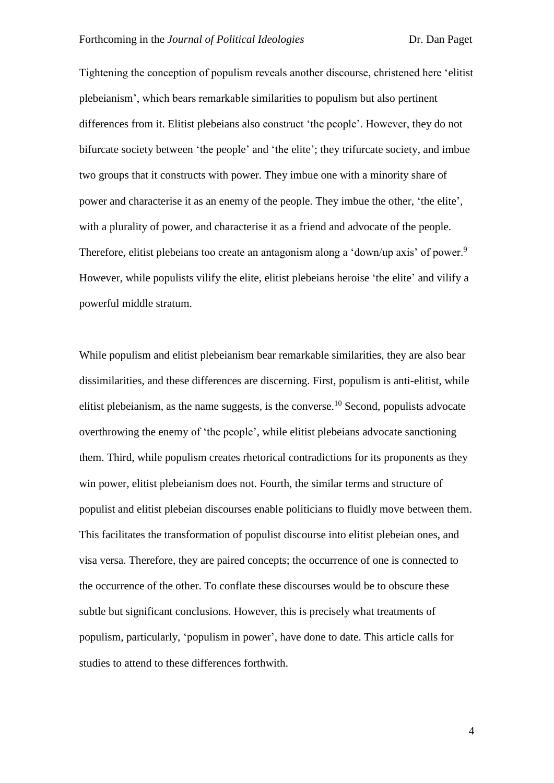Tightening the conception of populism reveals another discourse, christened here 'elitist plebeianism', which bears remarkable similarities to populism but also pertinent differences from it. Elitist plebeians also construct 'the people'. However, they do not bifurcate society between 'the people' and 'the elite'; they trifurcate society, and imbue two groups that it constructs with power. They imbue one with a minority share of power and characterise it as an enemy of the people. They imbue the other, 'the elite', with a plurality of power, and characterise it as a friend and advocate of the people. Therefore, elitist plebeians too create an antagonism along a 'down/up axis' of power.<sup>9</sup> However, while populists vilify the elite, elitist plebeians heroise 'the elite' and vilify a powerful middle stratum.

While populism and elitist plebeianism bear remarkable similarities, they are also bear dissimilarities, and these differences are discerning. First, populism is anti-elitist, while elitist plebeianism, as the name suggests, is the converse.<sup>10</sup> Second, populists advocate overthrowing the enemy of 'the people', while elitist plebeians advocate sanctioning them. Third, while populism creates rhetorical contradictions for its proponents as they win power, elitist plebeianism does not. Fourth, the similar terms and structure of populist and elitist plebeian discourses enable politicians to fluidly move between them. This facilitates the transformation of populist discourse into elitist plebeian ones, and visa versa. Therefore, they are paired concepts; the occurrence of one is connected to the occurrence of the other. To conflate these discourses would be to obscure these subtle but significant conclusions. However, this is precisely what treatments of populism, particularly, 'populism in power', have done to date. This article calls for studies to attend to these differences forthwith.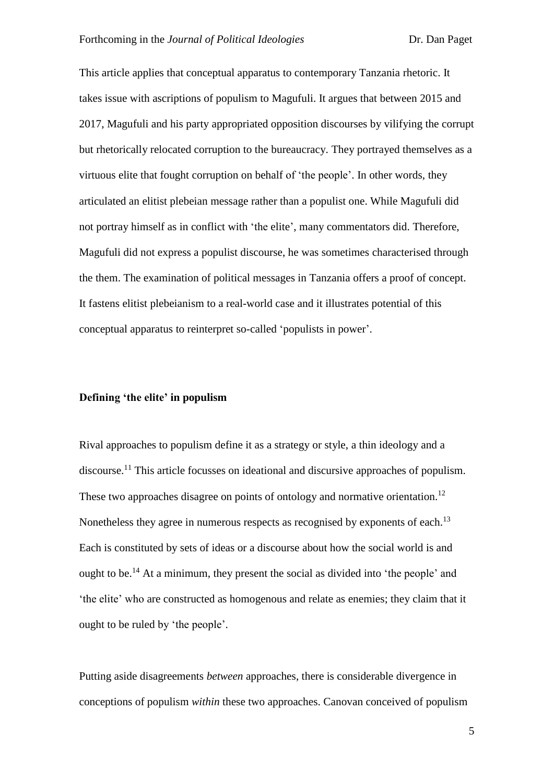This article applies that conceptual apparatus to contemporary Tanzania rhetoric. It takes issue with ascriptions of populism to Magufuli. It argues that between 2015 and 2017, Magufuli and his party appropriated opposition discourses by vilifying the corrupt but rhetorically relocated corruption to the bureaucracy. They portrayed themselves as a virtuous elite that fought corruption on behalf of 'the people'. In other words, they articulated an elitist plebeian message rather than a populist one. While Magufuli did not portray himself as in conflict with 'the elite', many commentators did. Therefore, Magufuli did not express a populist discourse, he was sometimes characterised through the them. The examination of political messages in Tanzania offers a proof of concept. It fastens elitist plebeianism to a real-world case and it illustrates potential of this conceptual apparatus to reinterpret so-called 'populists in power'.

## **Defining 'the elite' in populism**

Rival approaches to populism define it as a strategy or style, a thin ideology and a discourse.<sup>11</sup> This article focusses on ideational and discursive approaches of populism. These two approaches disagree on points of ontology and normative orientation.<sup>12</sup> Nonetheless they agree in numerous respects as recognised by exponents of each.<sup>13</sup> Each is constituted by sets of ideas or a discourse about how the social world is and ought to be.<sup>14</sup> At a minimum, they present the social as divided into 'the people' and 'the elite' who are constructed as homogenous and relate as enemies; they claim that it ought to be ruled by 'the people'.

Putting aside disagreements *between* approaches, there is considerable divergence in conceptions of populism *within* these two approaches. Canovan conceived of populism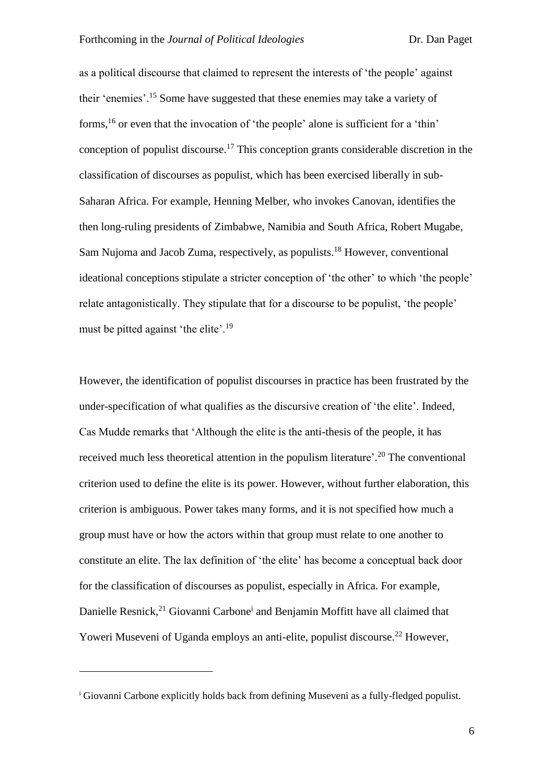as a political discourse that claimed to represent the interests of 'the people' against their 'enemies'.<sup>15</sup> Some have suggested that these enemies may take a variety of forms,<sup>16</sup> or even that the invocation of 'the people' alone is sufficient for a 'thin' conception of populist discourse.<sup>17</sup> This conception grants considerable discretion in the classification of discourses as populist, which has been exercised liberally in sub-Saharan Africa. For example, Henning Melber, who invokes Canovan, identifies the then long-ruling presidents of Zimbabwe, Namibia and South Africa, Robert Mugabe, Sam Nujoma and Jacob Zuma, respectively, as populists.<sup>18</sup> However, conventional ideational conceptions stipulate a stricter conception of 'the other' to which 'the people' relate antagonistically. They stipulate that for a discourse to be populist, 'the people' must be pitted against 'the elite'.<sup>19</sup>

However, the identification of populist discourses in practice has been frustrated by the under-specification of what qualifies as the discursive creation of 'the elite'. Indeed, Cas Mudde remarks that 'Although the elite is the anti-thesis of the people, it has received much less theoretical attention in the populism literature'.<sup>20</sup> The conventional criterion used to define the elite is its power. However, without further elaboration, this criterion is ambiguous. Power takes many forms, and it is not specified how much a group must have or how the actors within that group must relate to one another to constitute an elite. The lax definition of 'the elite' has become a conceptual back door for the classification of discourses as populist, especially in Africa. For example, Danielle Resnick,<sup>21</sup> Giovanni Carbone<sup>i</sup> and Benjamin Moffitt have all claimed that Yoweri Museveni of Uganda employs an anti-elite, populist discourse.<sup>22</sup> However,

<u>.</u>

<sup>&</sup>lt;sup>i</sup> Giovanni Carbone explicitly holds back from defining Museveni as a fully-fledged populist.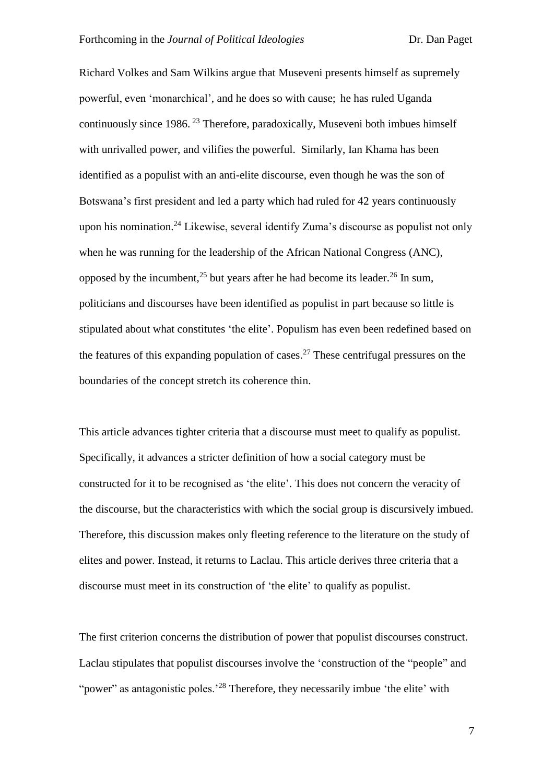Richard Volkes and Sam Wilkins argue that Museveni presents himself as supremely powerful, even 'monarchical', and he does so with cause; he has ruled Uganda continuously since  $1986$ . <sup>23</sup> Therefore, paradoxically, Museveni both imbues himself with unrivalled power, and vilifies the powerful. Similarly, Ian Khama has been identified as a populist with an anti-elite discourse, even though he was the son of Botswana's first president and led a party which had ruled for 42 years continuously upon his nomination.<sup>24</sup> Likewise, several identify Zuma's discourse as populist not only when he was running for the leadership of the African National Congress (ANC), opposed by the incumbent,<sup>25</sup> but years after he had become its leader.<sup>26</sup> In sum, politicians and discourses have been identified as populist in part because so little is stipulated about what constitutes 'the elite'. Populism has even been redefined based on the features of this expanding population of cases.<sup>27</sup> These centrifugal pressures on the boundaries of the concept stretch its coherence thin.

This article advances tighter criteria that a discourse must meet to qualify as populist. Specifically, it advances a stricter definition of how a social category must be constructed for it to be recognised as 'the elite'. This does not concern the veracity of the discourse, but the characteristics with which the social group is discursively imbued. Therefore, this discussion makes only fleeting reference to the literature on the study of elites and power. Instead, it returns to Laclau. This article derives three criteria that a discourse must meet in its construction of 'the elite' to qualify as populist.

The first criterion concerns the distribution of power that populist discourses construct. Laclau stipulates that populist discourses involve the 'construction of the "people" and "power" as antagonistic poles.<sup>28</sup> Therefore, they necessarily imbue 'the elite' with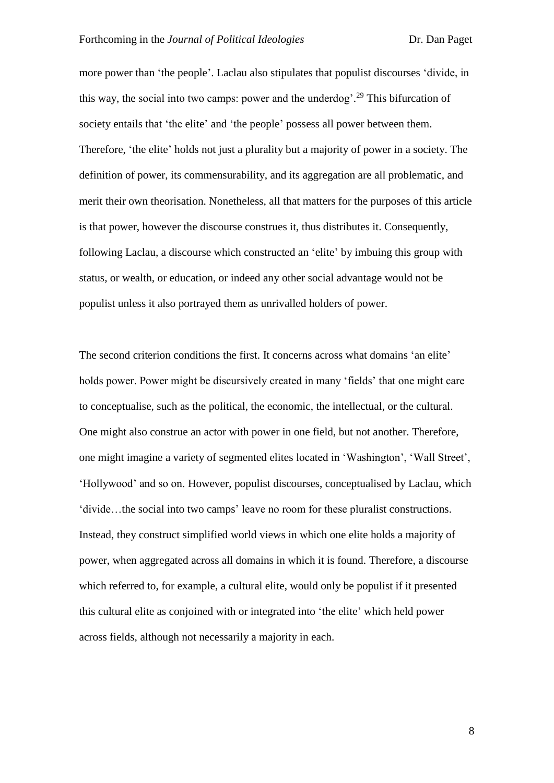more power than 'the people'. Laclau also stipulates that populist discourses 'divide, in this way, the social into two camps: power and the underdog'.<sup>29</sup> This bifurcation of society entails that 'the elite' and 'the people' possess all power between them. Therefore, 'the elite' holds not just a plurality but a majority of power in a society. The definition of power, its commensurability, and its aggregation are all problematic, and merit their own theorisation. Nonetheless, all that matters for the purposes of this article is that power, however the discourse construes it, thus distributes it. Consequently, following Laclau, a discourse which constructed an 'elite' by imbuing this group with status, or wealth, or education, or indeed any other social advantage would not be populist unless it also portrayed them as unrivalled holders of power.

The second criterion conditions the first. It concerns across what domains 'an elite' holds power. Power might be discursively created in many 'fields' that one might care to conceptualise, such as the political, the economic, the intellectual, or the cultural. One might also construe an actor with power in one field, but not another. Therefore, one might imagine a variety of segmented elites located in 'Washington', 'Wall Street', 'Hollywood' and so on. However, populist discourses, conceptualised by Laclau, which 'divide…the social into two camps' leave no room for these pluralist constructions. Instead, they construct simplified world views in which one elite holds a majority of power, when aggregated across all domains in which it is found. Therefore, a discourse which referred to, for example, a cultural elite, would only be populist if it presented this cultural elite as conjoined with or integrated into 'the elite' which held power across fields, although not necessarily a majority in each.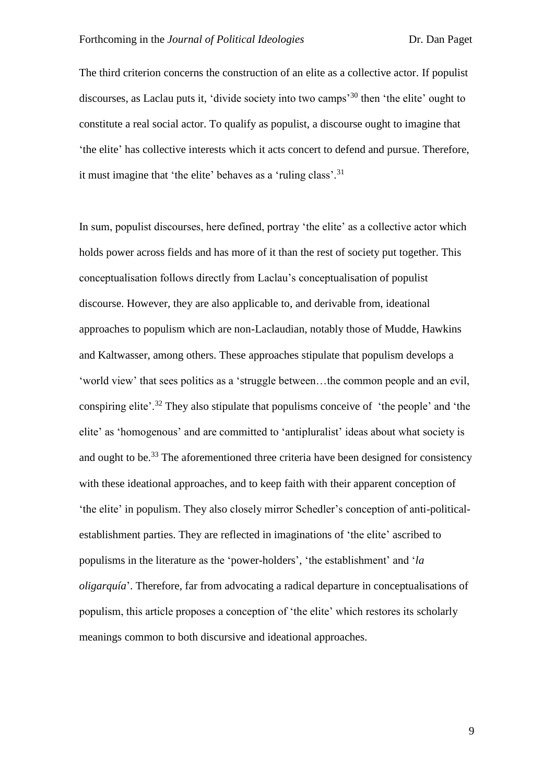The third criterion concerns the construction of an elite as a collective actor. If populist discourses, as Laclau puts it, 'divide society into two camps'<sup>30</sup> then 'the elite' ought to constitute a real social actor. To qualify as populist, a discourse ought to imagine that 'the elite' has collective interests which it acts concert to defend and pursue. Therefore, it must imagine that 'the elite' behaves as a 'ruling class'.<sup>31</sup>

In sum, populist discourses, here defined, portray 'the elite' as a collective actor which holds power across fields and has more of it than the rest of society put together. This conceptualisation follows directly from Laclau's conceptualisation of populist discourse. However, they are also applicable to, and derivable from, ideational approaches to populism which are non-Laclaudian, notably those of Mudde, Hawkins and Kaltwasser, among others. These approaches stipulate that populism develops a 'world view' that sees politics as a 'struggle between…the common people and an evil, conspiring elite'.<sup>32</sup> They also stipulate that populisms conceive of 'the people' and 'the elite' as 'homogenous' and are committed to 'antipluralist' ideas about what society is and ought to be.<sup>33</sup> The aforementioned three criteria have been designed for consistency with these ideational approaches, and to keep faith with their apparent conception of 'the elite' in populism. They also closely mirror Schedler's conception of anti-politicalestablishment parties. They are reflected in imaginations of 'the elite' ascribed to populisms in the literature as the 'power-holders', 'the establishment' and '*la oligarquía*'. Therefore, far from advocating a radical departure in conceptualisations of populism, this article proposes a conception of 'the elite' which restores its scholarly meanings common to both discursive and ideational approaches.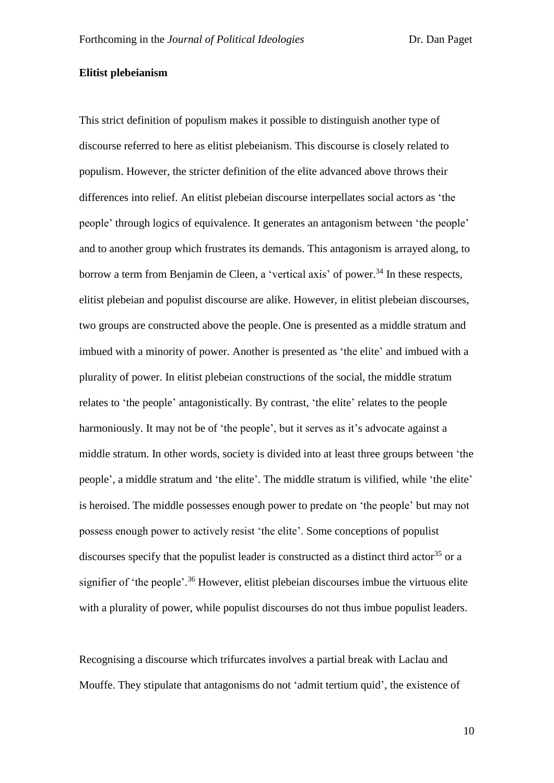# **Elitist plebeianism**

This strict definition of populism makes it possible to distinguish another type of discourse referred to here as elitist plebeianism. This discourse is closely related to populism. However, the stricter definition of the elite advanced above throws their differences into relief. An elitist plebeian discourse interpellates social actors as 'the people' through logics of equivalence. It generates an antagonism between 'the people' and to another group which frustrates its demands. This antagonism is arrayed along, to borrow a term from Benjamin de Cleen, a 'vertical axis' of power. <sup>34</sup> In these respects, elitist plebeian and populist discourse are alike. However, in elitist plebeian discourses, two groups are constructed above the people. One is presented as a middle stratum and imbued with a minority of power. Another is presented as 'the elite' and imbued with a plurality of power. In elitist plebeian constructions of the social, the middle stratum relates to 'the people' antagonistically. By contrast, 'the elite' relates to the people harmoniously. It may not be of 'the people', but it serves as it's advocate against a middle stratum. In other words, society is divided into at least three groups between 'the people', a middle stratum and 'the elite'. The middle stratum is vilified, while 'the elite' is heroised. The middle possesses enough power to predate on 'the people' but may not possess enough power to actively resist 'the elite'. Some conceptions of populist discourses specify that the populist leader is constructed as a distinct third actor<sup>35</sup> or a signifier of 'the people'.<sup>36</sup> However, elitist plebeian discourses imbue the virtuous elite with a plurality of power, while populist discourses do not thus imbue populist leaders.

Recognising a discourse which trifurcates involves a partial break with Laclau and Mouffe. They stipulate that antagonisms do not 'admit tertium quid', the existence of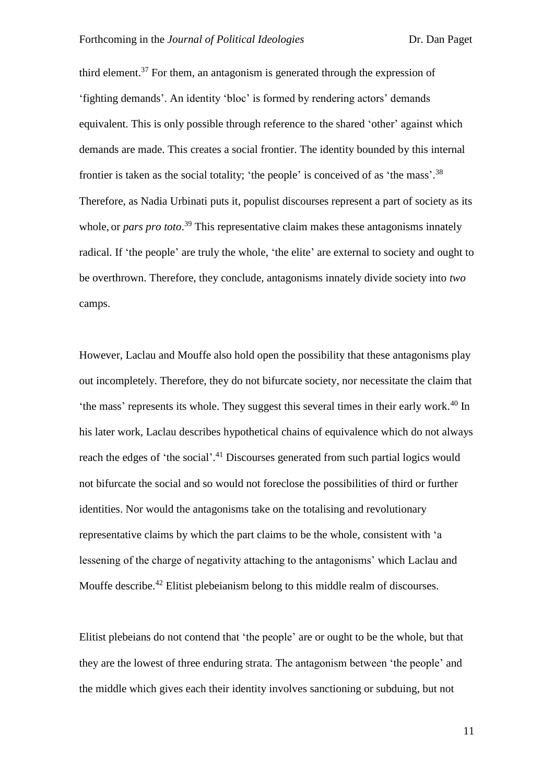third element.<sup>37</sup> For them, an antagonism is generated through the expression of 'fighting demands'. An identity 'bloc' is formed by rendering actors' demands equivalent. This is only possible through reference to the shared 'other' against which demands are made. This creates a social frontier. The identity bounded by this internal frontier is taken as the social totality; 'the people' is conceived of as 'the mass'.<sup>38</sup> Therefore, as Nadia Urbinati puts it, populist discourses represent a part of society as its whole, or *pars pro toto*.<sup>39</sup> This representative claim makes these antagonisms innately radical. If 'the people' are truly the whole, 'the elite' are external to society and ought to be overthrown. Therefore, they conclude, antagonisms innately divide society into *two* camps.

However, Laclau and Mouffe also hold open the possibility that these antagonisms play out incompletely. Therefore, they do not bifurcate society, nor necessitate the claim that the mass' represents its whole. They suggest this several times in their early work.<sup>40</sup> In his later work, Laclau describes hypothetical chains of equivalence which do not always reach the edges of 'the social'.<sup>41</sup> Discourses generated from such partial logics would not bifurcate the social and so would not foreclose the possibilities of third or further identities. Nor would the antagonisms take on the totalising and revolutionary representative claims by which the part claims to be the whole, consistent with 'a lessening of the charge of negativity attaching to the antagonisms' which Laclau and Mouffe describe.<sup>42</sup> Elitist plebeianism belong to this middle realm of discourses.

Elitist plebeians do not contend that 'the people' are or ought to be the whole, but that they are the lowest of three enduring strata. The antagonism between 'the people' and the middle which gives each their identity involves sanctioning or subduing, but not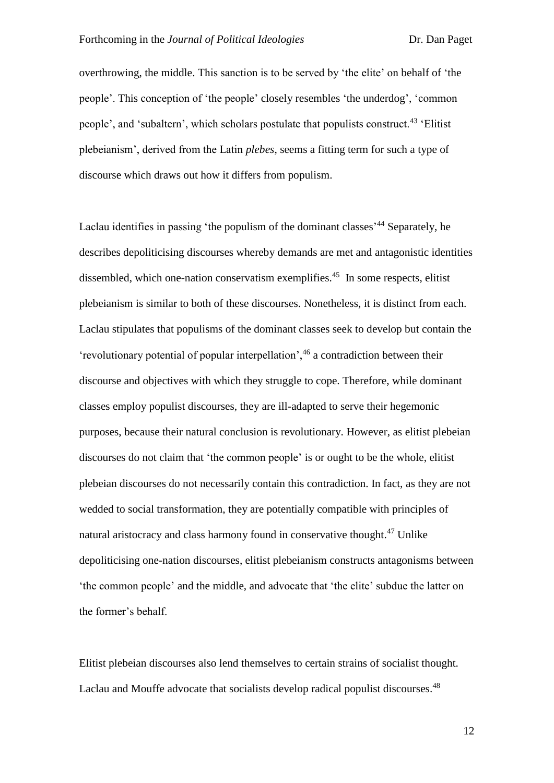overthrowing, the middle. This sanction is to be served by 'the elite' on behalf of 'the people'. This conception of 'the people' closely resembles 'the underdog', 'common people', and 'subaltern', which scholars postulate that populists construct.<sup>43</sup> 'Elitist plebeianism', derived from the Latin *plebes*, seems a fitting term for such a type of discourse which draws out how it differs from populism.

Laclau identifies in passing 'the populism of the dominant classes'<sup>44</sup> Separately, he describes depoliticising discourses whereby demands are met and antagonistic identities dissembled, which one-nation conservatism exemplifies. 45 In some respects, elitist plebeianism is similar to both of these discourses. Nonetheless, it is distinct from each. Laclau stipulates that populisms of the dominant classes seek to develop but contain the 'revolutionary potential of popular interpellation',  $46$  a contradiction between their discourse and objectives with which they struggle to cope. Therefore, while dominant classes employ populist discourses, they are ill-adapted to serve their hegemonic purposes, because their natural conclusion is revolutionary. However, as elitist plebeian discourses do not claim that 'the common people' is or ought to be the whole, elitist plebeian discourses do not necessarily contain this contradiction. In fact, as they are not wedded to social transformation, they are potentially compatible with principles of natural aristocracy and class harmony found in conservative thought.<sup>47</sup> Unlike depoliticising one-nation discourses, elitist plebeianism constructs antagonisms between 'the common people' and the middle, and advocate that 'the elite' subdue the latter on the former's behalf.

Elitist plebeian discourses also lend themselves to certain strains of socialist thought. Laclau and Mouffe advocate that socialists develop radical populist discourses.<sup>48</sup>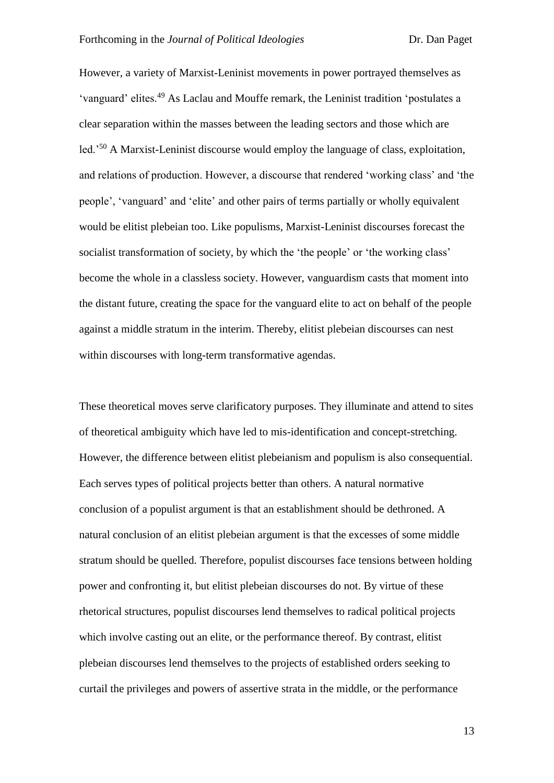However, a variety of Marxist-Leninist movements in power portrayed themselves as 'vanguard' elites.<sup>49</sup> As Laclau and Mouffe remark, the Leninist tradition 'postulates a clear separation within the masses between the leading sectors and those which are led.'<sup>50</sup> A Marxist-Leninist discourse would employ the language of class, exploitation, and relations of production. However, a discourse that rendered 'working class' and 'the people', 'vanguard' and 'elite' and other pairs of terms partially or wholly equivalent would be elitist plebeian too. Like populisms, Marxist-Leninist discourses forecast the socialist transformation of society, by which the 'the people' or 'the working class' become the whole in a classless society. However, vanguardism casts that moment into the distant future, creating the space for the vanguard elite to act on behalf of the people against a middle stratum in the interim. Thereby, elitist plebeian discourses can nest within discourses with long-term transformative agendas.

These theoretical moves serve clarificatory purposes. They illuminate and attend to sites of theoretical ambiguity which have led to mis-identification and concept-stretching. However, the difference between elitist plebeianism and populism is also consequential. Each serves types of political projects better than others. A natural normative conclusion of a populist argument is that an establishment should be dethroned. A natural conclusion of an elitist plebeian argument is that the excesses of some middle stratum should be quelled. Therefore, populist discourses face tensions between holding power and confronting it, but elitist plebeian discourses do not. By virtue of these rhetorical structures, populist discourses lend themselves to radical political projects which involve casting out an elite, or the performance thereof. By contrast, elitist plebeian discourses lend themselves to the projects of established orders seeking to curtail the privileges and powers of assertive strata in the middle, or the performance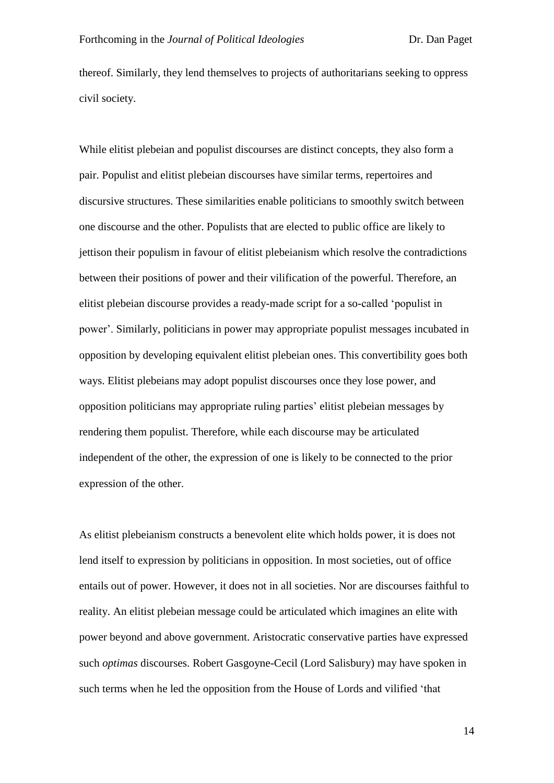thereof. Similarly, they lend themselves to projects of authoritarians seeking to oppress civil society.

While elitist plebeian and populist discourses are distinct concepts, they also form a pair. Populist and elitist plebeian discourses have similar terms, repertoires and discursive structures. These similarities enable politicians to smoothly switch between one discourse and the other. Populists that are elected to public office are likely to jettison their populism in favour of elitist plebeianism which resolve the contradictions between their positions of power and their vilification of the powerful. Therefore, an elitist plebeian discourse provides a ready-made script for a so-called 'populist in power'. Similarly, politicians in power may appropriate populist messages incubated in opposition by developing equivalent elitist plebeian ones. This convertibility goes both ways. Elitist plebeians may adopt populist discourses once they lose power, and opposition politicians may appropriate ruling parties' elitist plebeian messages by rendering them populist. Therefore, while each discourse may be articulated independent of the other, the expression of one is likely to be connected to the prior expression of the other.

As elitist plebeianism constructs a benevolent elite which holds power, it is does not lend itself to expression by politicians in opposition. In most societies, out of office entails out of power. However, it does not in all societies. Nor are discourses faithful to reality. An elitist plebeian message could be articulated which imagines an elite with power beyond and above government. Aristocratic conservative parties have expressed such *optimas* discourses. Robert Gasgoyne-Cecil (Lord Salisbury) may have spoken in such terms when he led the opposition from the House of Lords and vilified 'that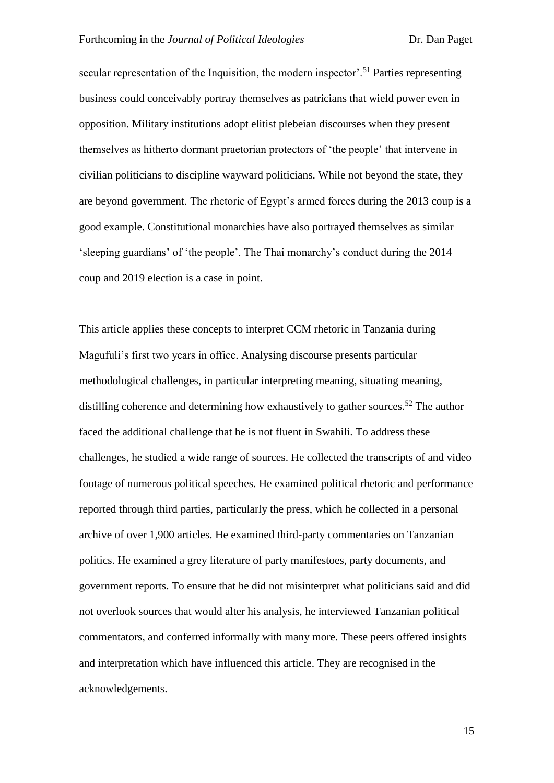secular representation of the Inquisition, the modern inspector'.<sup>51</sup> Parties representing business could conceivably portray themselves as patricians that wield power even in opposition. Military institutions adopt elitist plebeian discourses when they present themselves as hitherto dormant praetorian protectors of 'the people' that intervene in civilian politicians to discipline wayward politicians. While not beyond the state, they are beyond government. The rhetoric of Egypt's armed forces during the 2013 coup is a good example. Constitutional monarchies have also portrayed themselves as similar 'sleeping guardians' of 'the people'. The Thai monarchy's conduct during the 2014 coup and 2019 election is a case in point.

This article applies these concepts to interpret CCM rhetoric in Tanzania during Magufuli's first two years in office. Analysing discourse presents particular methodological challenges, in particular interpreting meaning, situating meaning, distilling coherence and determining how exhaustively to gather sources.<sup>52</sup> The author faced the additional challenge that he is not fluent in Swahili. To address these challenges, he studied a wide range of sources. He collected the transcripts of and video footage of numerous political speeches. He examined political rhetoric and performance reported through third parties, particularly the press, which he collected in a personal archive of over 1,900 articles. He examined third-party commentaries on Tanzanian politics. He examined a grey literature of party manifestoes, party documents, and government reports. To ensure that he did not misinterpret what politicians said and did not overlook sources that would alter his analysis, he interviewed Tanzanian political commentators, and conferred informally with many more. These peers offered insights and interpretation which have influenced this article. They are recognised in the acknowledgements.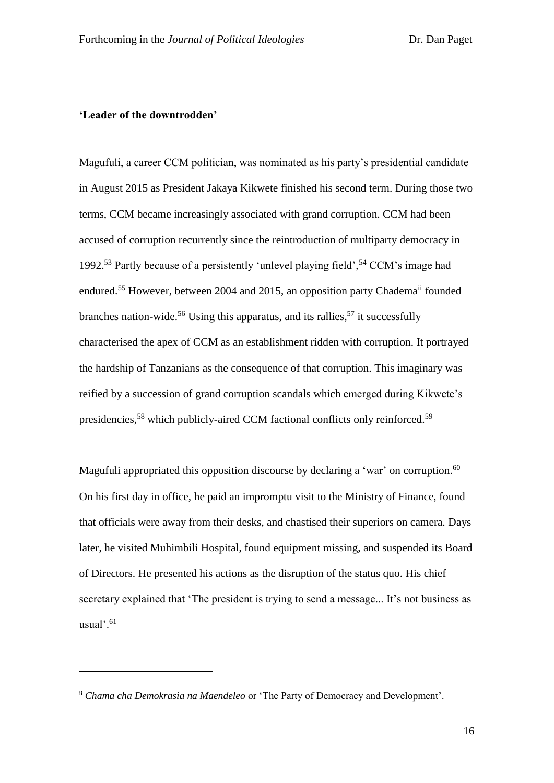## **'Leader of the downtrodden'**

<u>.</u>

Magufuli, a career CCM politician, was nominated as his party's presidential candidate in August 2015 as President Jakaya Kikwete finished his second term. During those two terms, CCM became increasingly associated with grand corruption. CCM had been accused of corruption recurrently since the reintroduction of multiparty democracy in 1992.<sup>53</sup> Partly because of a persistently 'unlevel playing field',  $54$  CCM's image had endured.<sup>55</sup> However, between 2004 and 2015, an opposition party Chadema<sup>ii</sup> founded branches nation-wide.<sup>56</sup> Using this apparatus, and its rallies,<sup>57</sup> it successfully characterised the apex of CCM as an establishment ridden with corruption. It portrayed the hardship of Tanzanians as the consequence of that corruption. This imaginary was reified by a succession of grand corruption scandals which emerged during Kikwete's presidencies,<sup>58</sup> which publicly-aired CCM factional conflicts only reinforced.<sup>59</sup>

Magufuli appropriated this opposition discourse by declaring a 'war' on corruption.<sup>60</sup> On his first day in office, he paid an impromptu visit to the Ministry of Finance, found that officials were away from their desks, and chastised their superiors on camera. Days later, he visited Muhimbili Hospital, found equipment missing, and suspended its Board of Directors. He presented his actions as the disruption of the status quo. His chief secretary explained that 'The president is trying to send a message... It's not business as usual'.<sup>61</sup>

ii *Chama cha Demokrasia na Maendeleo* or 'The Party of Democracy and Development'.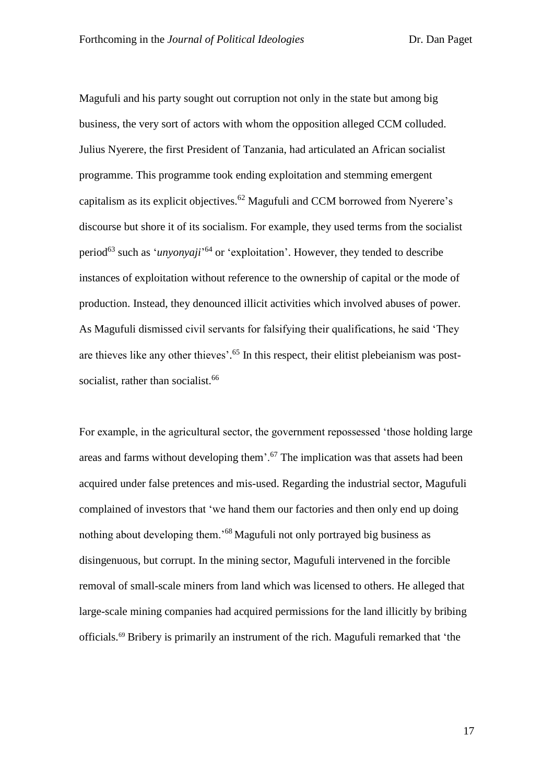Magufuli and his party sought out corruption not only in the state but among big business, the very sort of actors with whom the opposition alleged CCM colluded. Julius Nyerere, the first President of Tanzania, had articulated an African socialist programme. This programme took ending exploitation and stemming emergent capitalism as its explicit objectives.<sup>62</sup> Magufuli and CCM borrowed from Nyerere's discourse but shore it of its socialism. For example, they used terms from the socialist period<sup>63</sup> such as '*unyonyaji*' <sup>64</sup> or 'exploitation'. However, they tended to describe instances of exploitation without reference to the ownership of capital or the mode of production. Instead, they denounced illicit activities which involved abuses of power. As Magufuli dismissed civil servants for falsifying their qualifications, he said 'They are thieves like any other thieves'.<sup>65</sup> In this respect, their elitist plebeianism was postsocialist, rather than socialist.<sup>66</sup>

For example, in the agricultural sector, the government repossessed 'those holding large areas and farms without developing them'.<sup>67</sup> The implication was that assets had been acquired under false pretences and mis-used. Regarding the industrial sector, Magufuli complained of investors that 'we hand them our factories and then only end up doing nothing about developing them.'<sup>68</sup> Magufuli not only portrayed big business as disingenuous, but corrupt. In the mining sector, Magufuli intervened in the forcible removal of small-scale miners from land which was licensed to others. He alleged that large-scale mining companies had acquired permissions for the land illicitly by bribing officials.<sup>69</sup> Bribery is primarily an instrument of the rich. Magufuli remarked that 'the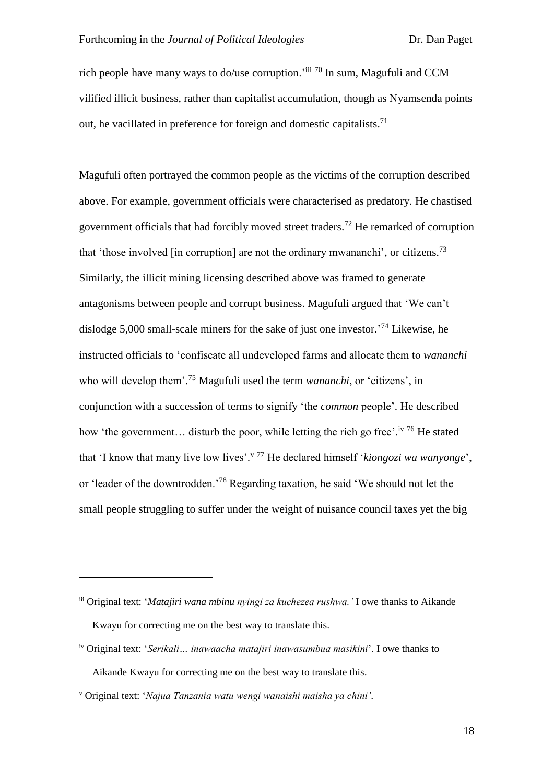rich people have many ways to do/use corruption.'iii <sup>70</sup> In sum, Magufuli and CCM vilified illicit business, rather than capitalist accumulation, though as Nyamsenda points out, he vacillated in preference for foreign and domestic capitalists.<sup>71</sup>

Magufuli often portrayed the common people as the victims of the corruption described above. For example, government officials were characterised as predatory. He chastised government officials that had forcibly moved street traders.<sup>72</sup> He remarked of corruption that 'those involved [in corruption] are not the ordinary mwananchi', or citizens.<sup>73</sup> Similarly, the illicit mining licensing described above was framed to generate antagonisms between people and corrupt business. Magufuli argued that 'We can't dislodge 5,000 small-scale miners for the sake of just one investor.' <sup>74</sup> Likewise, he instructed officials to 'confiscate all undeveloped farms and allocate them to *wananchi* who will develop them'. <sup>75</sup> Magufuli used the term *wananchi*, or 'citizens', in conjunction with a succession of terms to signify 'the *common* people'. He described how 'the government... disturb the poor, while letting the rich go free'.<sup>iv 76</sup> He stated that 'I know that many live low lives'.<sup>v 77</sup> He declared himself '*kiongozi wa wanyonge*', or 'leader of the downtrodden.'<sup>78</sup> Regarding taxation, he said 'We should not let the small people struggling to suffer under the weight of nuisance council taxes yet the big

<u>.</u>

iii Original text: '*Matajiri wana mbinu nyingi za kuchezea rushwa.'* I owe thanks to Aikande Kwayu for correcting me on the best way to translate this.

iv Original text: '*Serikali… inawaacha matajiri inawasumbua masikini*'. I owe thanks to Aikande Kwayu for correcting me on the best way to translate this.

<sup>v</sup> Original text: '*Najua Tanzania watu wengi wanaishi maisha ya chini'.*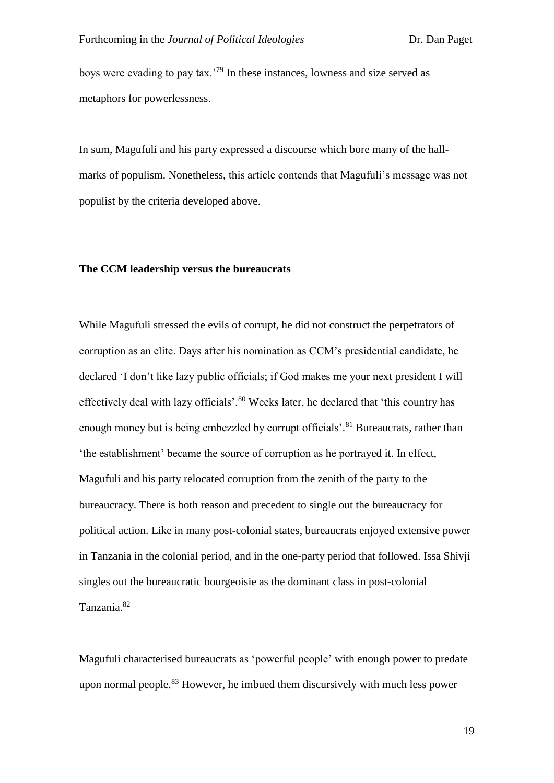boys were evading to pay tax.'<sup>79</sup> In these instances, lowness and size served as metaphors for powerlessness.

In sum, Magufuli and his party expressed a discourse which bore many of the hallmarks of populism. Nonetheless, this article contends that Magufuli's message was not populist by the criteria developed above.

#### **The CCM leadership versus the bureaucrats**

While Magufuli stressed the evils of corrupt, he did not construct the perpetrators of corruption as an elite. Days after his nomination as CCM's presidential candidate, he declared 'I don't like lazy public officials; if God makes me your next president I will effectively deal with lazy officials'.<sup>80</sup> Weeks later, he declared that 'this country has enough money but is being embezzled by corrupt officials'.<sup>81</sup> Bureaucrats, rather than 'the establishment' became the source of corruption as he portrayed it. In effect, Magufuli and his party relocated corruption from the zenith of the party to the bureaucracy. There is both reason and precedent to single out the bureaucracy for political action. Like in many post-colonial states, bureaucrats enjoyed extensive power in Tanzania in the colonial period, and in the one-party period that followed. Issa Shivji singles out the bureaucratic bourgeoisie as the dominant class in post-colonial Tanzania.<sup>82</sup>

Magufuli characterised bureaucrats as 'powerful people' with enough power to predate upon normal people.<sup>83</sup> However, he imbued them discursively with much less power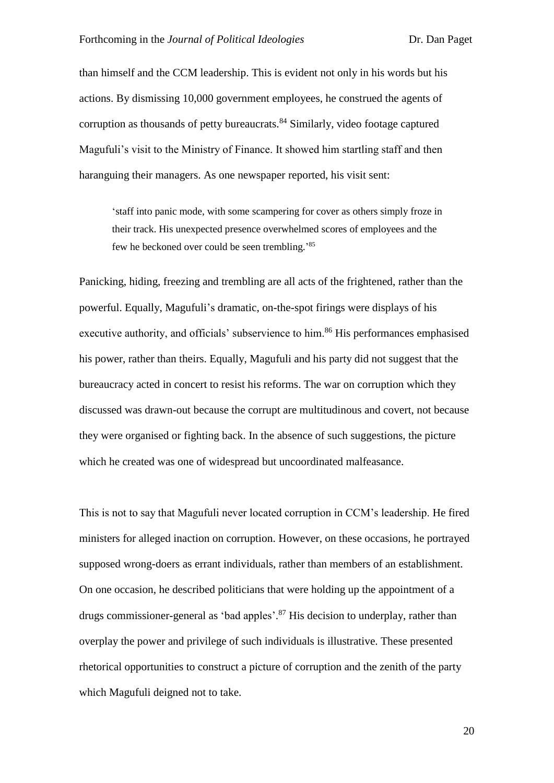than himself and the CCM leadership. This is evident not only in his words but his actions. By dismissing 10,000 government employees, he construed the agents of corruption as thousands of petty bureaucrats.<sup>84</sup> Similarly, video footage captured Magufuli's visit to the Ministry of Finance. It showed him startling staff and then haranguing their managers. As one newspaper reported, his visit sent:

'staff into panic mode, with some scampering for cover as others simply froze in their track. His unexpected presence overwhelmed scores of employees and the few he beckoned over could be seen trembling.' 85

Panicking, hiding, freezing and trembling are all acts of the frightened, rather than the powerful. Equally, Magufuli's dramatic, on-the-spot firings were displays of his executive authority, and officials' subservience to him.<sup>86</sup> His performances emphasised his power, rather than theirs. Equally, Magufuli and his party did not suggest that the bureaucracy acted in concert to resist his reforms. The war on corruption which they discussed was drawn-out because the corrupt are multitudinous and covert, not because they were organised or fighting back. In the absence of such suggestions, the picture which he created was one of widespread but uncoordinated malfeasance.

This is not to say that Magufuli never located corruption in CCM's leadership. He fired ministers for alleged inaction on corruption. However, on these occasions, he portrayed supposed wrong-doers as errant individuals, rather than members of an establishment. On one occasion, he described politicians that were holding up the appointment of a drugs commissioner-general as 'bad apples'.<sup>87</sup> His decision to underplay, rather than overplay the power and privilege of such individuals is illustrative. These presented rhetorical opportunities to construct a picture of corruption and the zenith of the party which Magufuli deigned not to take.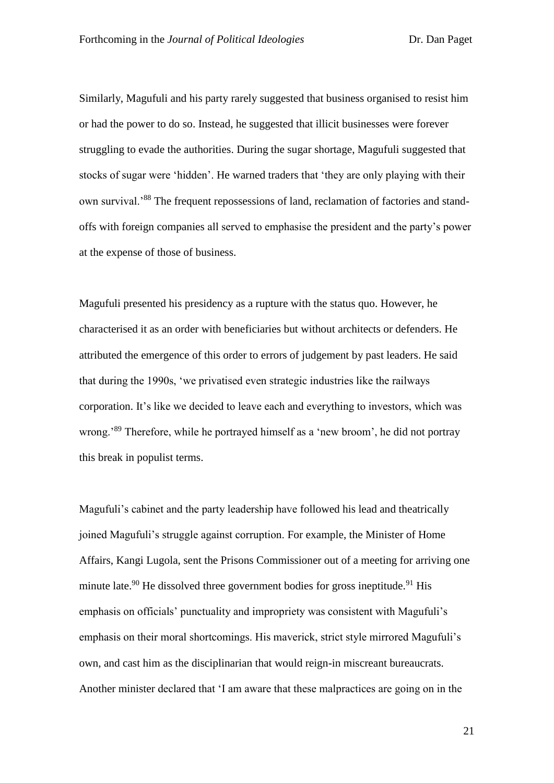Similarly, Magufuli and his party rarely suggested that business organised to resist him or had the power to do so. Instead, he suggested that illicit businesses were forever struggling to evade the authorities. During the sugar shortage, Magufuli suggested that stocks of sugar were 'hidden'. He warned traders that 'they are only playing with their own survival.'<sup>88</sup> The frequent repossessions of land, reclamation of factories and standoffs with foreign companies all served to emphasise the president and the party's power at the expense of those of business.

Magufuli presented his presidency as a rupture with the status quo. However, he characterised it as an order with beneficiaries but without architects or defenders. He attributed the emergence of this order to errors of judgement by past leaders. He said that during the 1990s, 'we privatised even strategic industries like the railways corporation. It's like we decided to leave each and everything to investors, which was wrong.<sup>89</sup> Therefore, while he portrayed himself as a 'new broom', he did not portray this break in populist terms.

Magufuli's cabinet and the party leadership have followed his lead and theatrically joined Magufuli's struggle against corruption. For example, the Minister of Home Affairs, Kangi Lugola, sent the Prisons Commissioner out of a meeting for arriving one minute late.<sup>90</sup> He dissolved three government bodies for gross ineptitude.<sup>91</sup> His emphasis on officials' punctuality and impropriety was consistent with Magufuli's emphasis on their moral shortcomings. His maverick, strict style mirrored Magufuli's own, and cast him as the disciplinarian that would reign-in miscreant bureaucrats. Another minister declared that 'I am aware that these malpractices are going on in the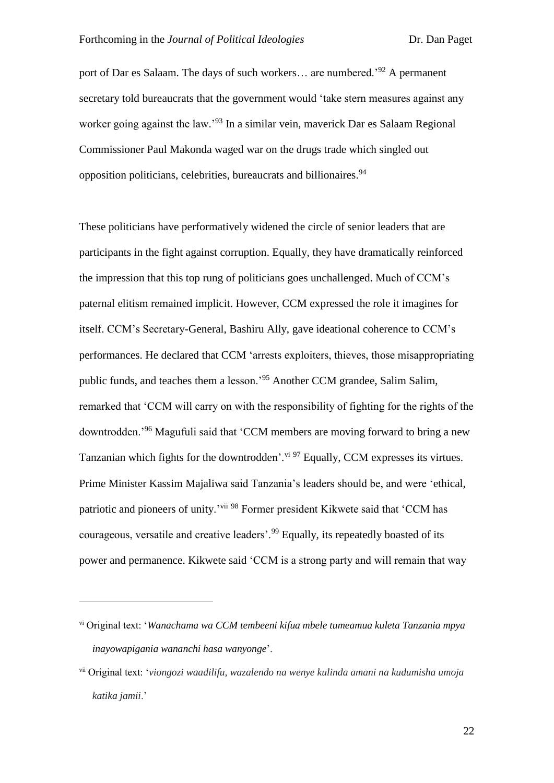port of Dar es Salaam. The days of such workers... are numbered.<sup>92</sup> A permanent secretary told bureaucrats that the government would 'take stern measures against any worker going against the law.<sup>93</sup> In a similar vein, maverick Dar es Salaam Regional Commissioner Paul Makonda waged war on the drugs trade which singled out opposition politicians, celebrities, bureaucrats and billionaires.<sup>94</sup>

These politicians have performatively widened the circle of senior leaders that are participants in the fight against corruption. Equally, they have dramatically reinforced the impression that this top rung of politicians goes unchallenged. Much of CCM's paternal elitism remained implicit. However, CCM expressed the role it imagines for itself. CCM's Secretary-General, Bashiru Ally, gave ideational coherence to CCM's performances. He declared that CCM 'arrests exploiters, thieves, those misappropriating public funds, and teaches them a lesson.'<sup>95</sup> Another CCM grandee, Salim Salim, remarked that 'CCM will carry on with the responsibility of fighting for the rights of the downtrodden.'<sup>96</sup> Magufuli said that 'CCM members are moving forward to bring a new Tanzanian which fights for the downtrodden'. Vi <sup>97</sup> Equally, CCM expresses its virtues. Prime Minister Kassim Majaliwa said Tanzania's leaders should be, and were 'ethical, patriotic and pioneers of unity.'vii <sup>98</sup> Former president Kikwete said that 'CCM has courageous, versatile and creative leaders'.<sup>99</sup> Equally, its repeatedly boasted of its power and permanence. Kikwete said 'CCM is a strong party and will remain that way

<u>.</u>

vi Original text: '*Wanachama wa CCM tembeeni kifua mbele tumeamua kuleta Tanzania mpya inayowapigania wananchi hasa wanyonge*'.

vii Original text: '*viongozi waadilifu, wazalendo na wenye kulinda amani na kudumisha umoja katika jamii*.'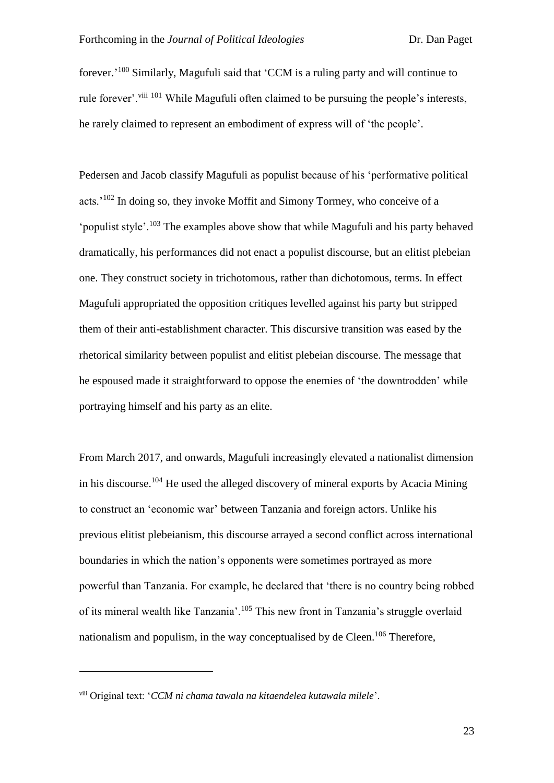forever.<sup>'100</sup> Similarly, Magufuli said that 'CCM is a ruling party and will continue to rule forever'. viii 101 While Magufuli often claimed to be pursuing the people's interests, he rarely claimed to represent an embodiment of express will of 'the people'.

Pedersen and Jacob classify Magufuli as populist because of his 'performative political acts.'<sup>102</sup> In doing so, they invoke Moffit and Simony Tormey, who conceive of a 'populist style'.<sup>103</sup> The examples above show that while Magufuli and his party behaved dramatically, his performances did not enact a populist discourse, but an elitist plebeian one. They construct society in trichotomous, rather than dichotomous, terms. In effect Magufuli appropriated the opposition critiques levelled against his party but stripped them of their anti-establishment character. This discursive transition was eased by the rhetorical similarity between populist and elitist plebeian discourse. The message that he espoused made it straightforward to oppose the enemies of 'the downtrodden' while portraying himself and his party as an elite.

From March 2017, and onwards, Magufuli increasingly elevated a nationalist dimension in his discourse.<sup>104</sup> He used the alleged discovery of mineral exports by Acacia Mining to construct an 'economic war' between Tanzania and foreign actors. Unlike his previous elitist plebeianism, this discourse arrayed a second conflict across international boundaries in which the nation's opponents were sometimes portrayed as more powerful than Tanzania. For example, he declared that 'there is no country being robbed of its mineral wealth like Tanzania'.<sup>105</sup> This new front in Tanzania's struggle overlaid nationalism and populism, in the way conceptualised by de Cleen.<sup>106</sup> Therefore,

<u>.</u>

viii Original text: '*CCM ni chama tawala na kitaendelea kutawala milele*'.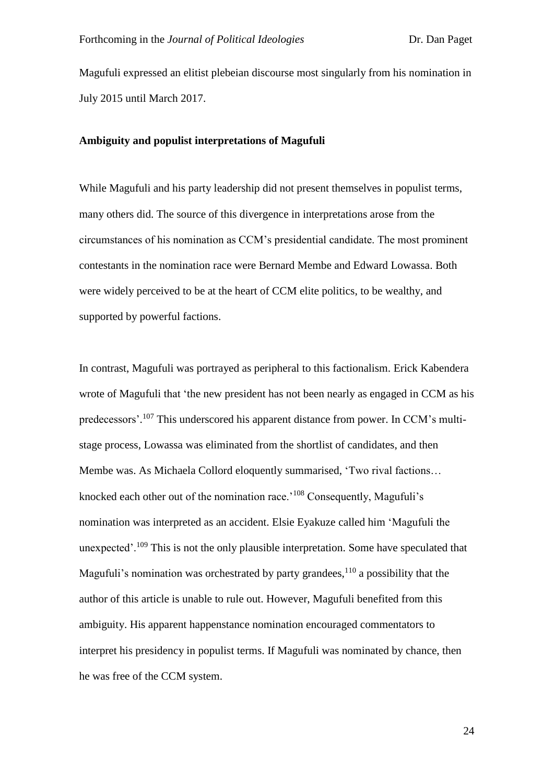Magufuli expressed an elitist plebeian discourse most singularly from his nomination in July 2015 until March 2017.

# **Ambiguity and populist interpretations of Magufuli**

While Magufuli and his party leadership did not present themselves in populist terms, many others did. The source of this divergence in interpretations arose from the circumstances of his nomination as CCM's presidential candidate. The most prominent contestants in the nomination race were Bernard Membe and Edward Lowassa. Both were widely perceived to be at the heart of CCM elite politics, to be wealthy, and supported by powerful factions.

In contrast, Magufuli was portrayed as peripheral to this factionalism. Erick Kabendera wrote of Magufuli that 'the new president has not been nearly as engaged in CCM as his predecessors'.<sup>107</sup> This underscored his apparent distance from power. In CCM's multistage process, Lowassa was eliminated from the shortlist of candidates, and then Membe was. As Michaela Collord eloquently summarised, 'Two rival factions… knocked each other out of the nomination race.'<sup>108</sup> Consequently, Magufuli's nomination was interpreted as an accident. Elsie Eyakuze called him 'Magufuli the unexpected'.<sup>109</sup> This is not the only plausible interpretation. Some have speculated that Magufuli's nomination was orchestrated by party grandees,<sup>110</sup> a possibility that the author of this article is unable to rule out. However, Magufuli benefited from this ambiguity. His apparent happenstance nomination encouraged commentators to interpret his presidency in populist terms. If Magufuli was nominated by chance, then he was free of the CCM system.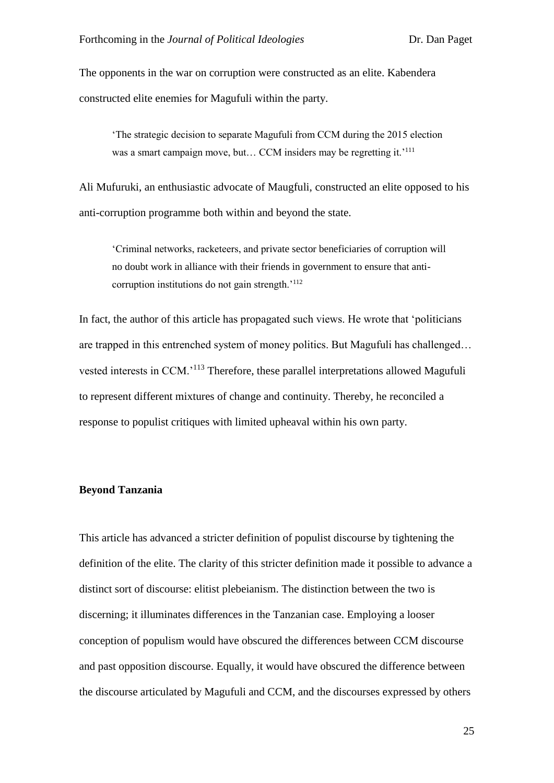The opponents in the war on corruption were constructed as an elite. Kabendera constructed elite enemies for Magufuli within the party.

'The strategic decision to separate Magufuli from CCM during the 2015 election was a smart campaign move, but... CCM insiders may be regretting it.<sup>'111</sup>

Ali Mufuruki, an enthusiastic advocate of Maugfuli, constructed an elite opposed to his anti-corruption programme both within and beyond the state.

'Criminal networks, racketeers, and private sector beneficiaries of corruption will no doubt work in alliance with their friends in government to ensure that anticorruption institutions do not gain strength.<sup>'112</sup>

In fact, the author of this article has propagated such views. He wrote that 'politicians are trapped in this entrenched system of money politics. But Magufuli has challenged… vested interests in CCM.<sup>'113</sup> Therefore, these parallel interpretations allowed Magufuli to represent different mixtures of change and continuity. Thereby, he reconciled a response to populist critiques with limited upheaval within his own party.

#### **Beyond Tanzania**

This article has advanced a stricter definition of populist discourse by tightening the definition of the elite. The clarity of this stricter definition made it possible to advance a distinct sort of discourse: elitist plebeianism. The distinction between the two is discerning; it illuminates differences in the Tanzanian case. Employing a looser conception of populism would have obscured the differences between CCM discourse and past opposition discourse. Equally, it would have obscured the difference between the discourse articulated by Magufuli and CCM, and the discourses expressed by others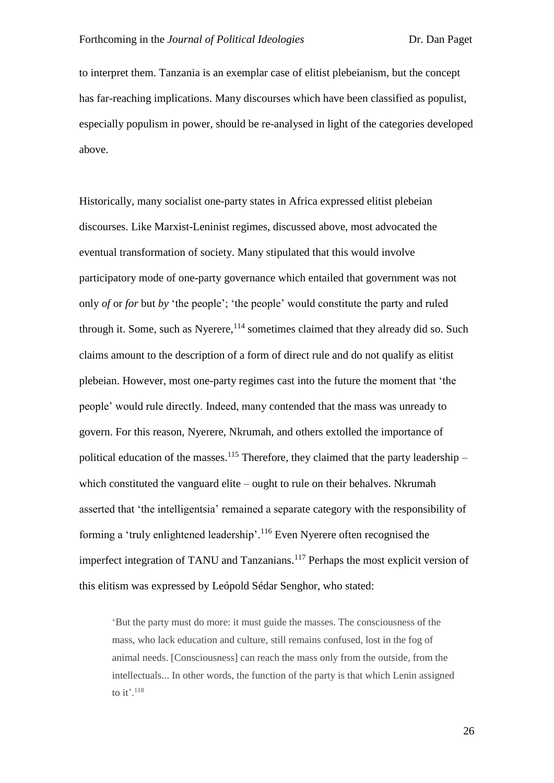to interpret them. Tanzania is an exemplar case of elitist plebeianism, but the concept has far-reaching implications. Many discourses which have been classified as populist, especially populism in power, should be re-analysed in light of the categories developed above.

Historically, many socialist one-party states in Africa expressed elitist plebeian discourses. Like Marxist-Leninist regimes, discussed above, most advocated the eventual transformation of society. Many stipulated that this would involve participatory mode of one-party governance which entailed that government was not only *of* or *for* but *by* 'the people'; 'the people' would constitute the party and ruled through it. Some, such as Nyerere,  $114$  sometimes claimed that they already did so. Such claims amount to the description of a form of direct rule and do not qualify as elitist plebeian. However, most one-party regimes cast into the future the moment that 'the people' would rule directly. Indeed, many contended that the mass was unready to govern. For this reason, Nyerere, Nkrumah, and others extolled the importance of political education of the masses.<sup>115</sup> Therefore, they claimed that the party leadership – which constituted the vanguard elite – ought to rule on their behalves. Nkrumah asserted that 'the intelligentsia' remained a separate category with the responsibility of forming a 'truly enlightened leadership'.<sup>116</sup> Even Nyerere often recognised the imperfect integration of TANU and Tanzanians.<sup>117</sup> Perhaps the most explicit version of this elitism was expressed by Leópold Sédar Senghor, who stated:

'But the party must do more: it must guide the masses. The consciousness of the mass, who lack education and culture, still remains confused, lost in the fog of animal needs. [Consciousness] can reach the mass only from the outside, from the intellectuals... In other words, the function of the party is that which Lenin assigned to it'. $118$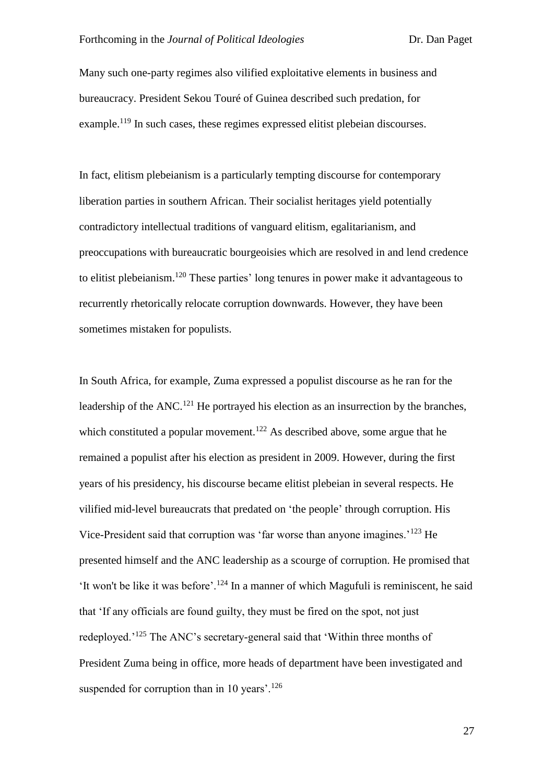Many such one-party regimes also vilified exploitative elements in business and bureaucracy. President Sekou Touré of Guinea described such predation, for example.<sup>119</sup> In such cases, these regimes expressed elitist plebeian discourses.

In fact, elitism plebeianism is a particularly tempting discourse for contemporary liberation parties in southern African. Their socialist heritages yield potentially contradictory intellectual traditions of vanguard elitism, egalitarianism, and preoccupations with bureaucratic bourgeoisies which are resolved in and lend credence to elitist plebeianism.<sup>120</sup> These parties' long tenures in power make it advantageous to recurrently rhetorically relocate corruption downwards. However, they have been sometimes mistaken for populists.

In South Africa, for example, Zuma expressed a populist discourse as he ran for the leadership of the ANC.<sup>121</sup> He portrayed his election as an insurrection by the branches, which constituted a popular movement.<sup>122</sup> As described above, some argue that he remained a populist after his election as president in 2009. However, during the first years of his presidency, his discourse became elitist plebeian in several respects. He vilified mid-level bureaucrats that predated on 'the people' through corruption. His Vice-President said that corruption was 'far worse than anyone imagines.'<sup>123</sup> He presented himself and the ANC leadership as a scourge of corruption. He promised that 'It won't be like it was before'.<sup>124</sup> In a manner of which Magufuli is reminiscent, he said that 'If any officials are found guilty, they must be fired on the spot, not just redeployed.'<sup>125</sup> The ANC's secretary-general said that 'Within three months of President Zuma being in office, more heads of department have been investigated and suspended for corruption than in 10 years'.<sup>126</sup>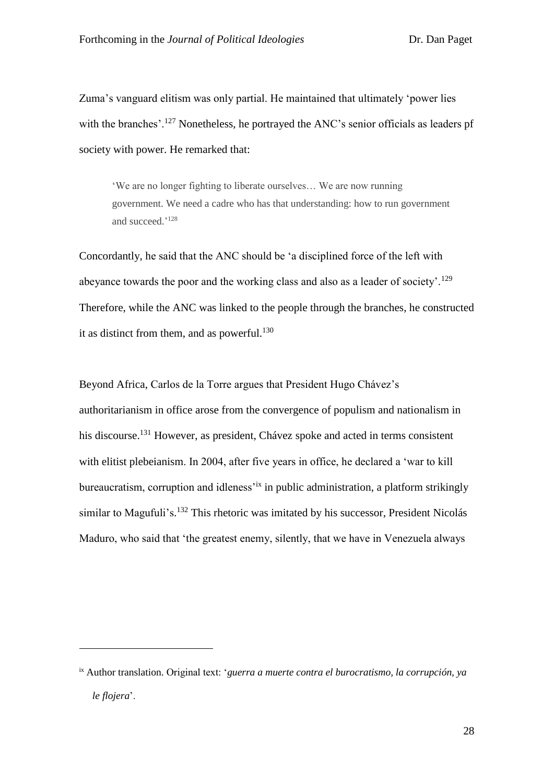Zuma's vanguard elitism was only partial. He maintained that ultimately 'power lies with the branches'.<sup>127</sup> Nonetheless, he portrayed the ANC's senior officials as leaders pf society with power. He remarked that:

'We are no longer fighting to liberate ourselves… We are now running government. We need a cadre who has that understanding: how to run government and succeed.' 128

Concordantly, he said that the ANC should be 'a disciplined force of the left with abeyance towards the poor and the working class and also as a leader of society'.<sup>129</sup> Therefore, while the ANC was linked to the people through the branches, he constructed it as distinct from them, and as powerful. $130$ 

Beyond Africa, Carlos de la Torre argues that President Hugo Chávez's authoritarianism in office arose from the convergence of populism and nationalism in his discourse.<sup>131</sup> However, as president, Chávez spoke and acted in terms consistent with elitist plebeianism. In 2004, after five years in office, he declared a 'war to kill bureaucratism, corruption and idleness<sup>tix</sup> in public administration, a platform strikingly similar to Magufuli's.<sup>132</sup> This rhetoric was imitated by his successor, President Nicolás Maduro, who said that 'the greatest enemy, silently, that we have in Venezuela always

ix Author translation. Original text: '*guerra a muerte contra el burocratismo, la corrupción, ya le flojera*'.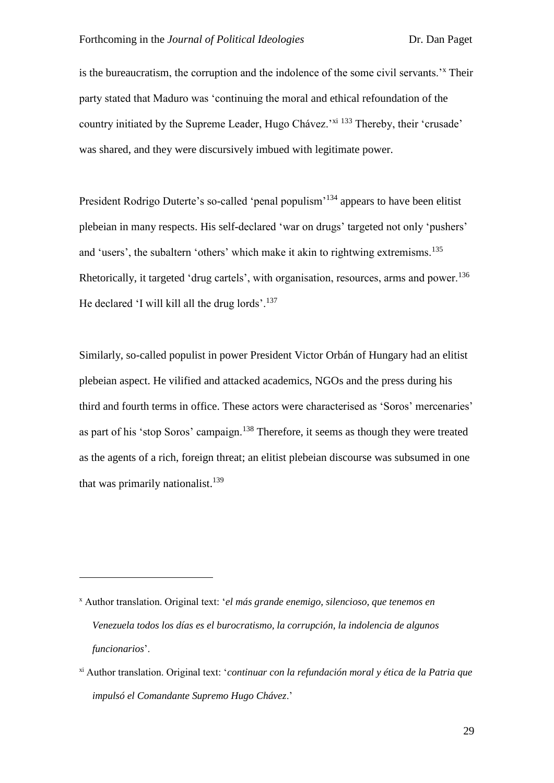is the bureaucratism, the corruption and the indolence of the some civil servants.'<sup>x</sup> Their party stated that Maduro was 'continuing the moral and ethical refoundation of the country initiated by the Supreme Leader, Hugo Chávez.<sup>'xi 133</sup> Thereby, their 'crusade' was shared, and they were discursively imbued with legitimate power.

President Rodrigo Duterte's so-called 'penal populism'<sup>134</sup> appears to have been elitist plebeian in many respects. His self-declared 'war on drugs' targeted not only 'pushers' and 'users', the subaltern 'others' which make it akin to rightwing extremisms.<sup>135</sup> Rhetorically, it targeted 'drug cartels', with organisation, resources, arms and power.<sup>136</sup> He declared 'I will kill all the drug lords'.<sup>137</sup>

Similarly, so-called populist in power President Victor Orbán of Hungary had an elitist plebeian aspect. He vilified and attacked academics, NGOs and the press during his third and fourth terms in office. These actors were characterised as 'Soros' mercenaries' as part of his 'stop Soros' campaign.<sup>138</sup> Therefore, it seems as though they were treated as the agents of a rich, foreign threat; an elitist plebeian discourse was subsumed in one that was primarily nationalist.<sup>139</sup>

<u>.</u>

<sup>x</sup> Author translation. Original text: '*el más grande enemigo, silencioso, que tenemos en Venezuela todos los días es el burocratismo, la corrupción, la indolencia de algunos funcionarios*'.

xi Author translation. Original text: '*continuar con la refundación moral y ética de la Patria que impulsó el Comandante Supremo Hugo Chávez*.'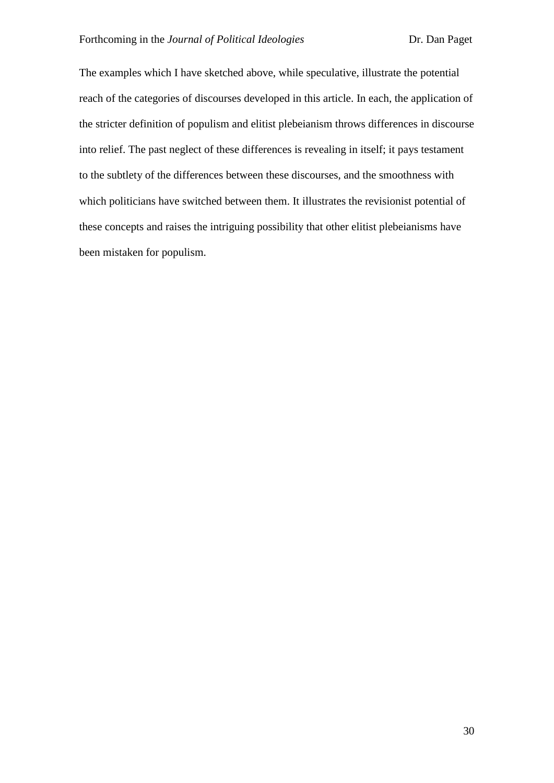The examples which I have sketched above, while speculative, illustrate the potential reach of the categories of discourses developed in this article. In each, the application of the stricter definition of populism and elitist plebeianism throws differences in discourse into relief. The past neglect of these differences is revealing in itself; it pays testament to the subtlety of the differences between these discourses, and the smoothness with which politicians have switched between them. It illustrates the revisionist potential of these concepts and raises the intriguing possibility that other elitist plebeianisms have been mistaken for populism.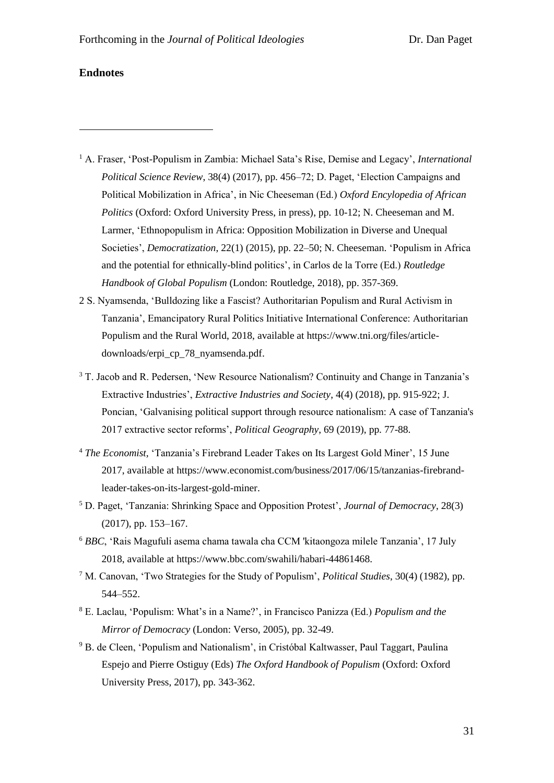#### **Endnotes**

- <sup>1</sup> A. Fraser, 'Post-Populism in Zambia: Michael Sata's Rise, Demise and Legacy', *International Political Science Review*, 38(4) (2017), pp. 456–72; D. Paget, 'Election Campaigns and Political Mobilization in Africa', in Nic Cheeseman (Ed.) *Oxford Encylopedia of African Politics* (Oxford: Oxford University Press, in press), pp. 10-12; N. Cheeseman and M. Larmer, 'Ethnopopulism in Africa: Opposition Mobilization in Diverse and Unequal Societies', *Democratization*, 22(1) (2015), pp. 22–50; N. Cheeseman. 'Populism in Africa and the potential for ethnically-blind politics', in Carlos de la Torre (Ed.) *Routledge Handbook of Global Populism* (London: Routledge, 2018), pp. 357-369.
- 2 S. Nyamsenda, 'Bulldozing like a Fascist? Authoritarian Populism and Rural Activism in Tanzania', Emancipatory Rural Politics Initiative International Conference: Authoritarian Populism and the Rural World, 2018, available at https://www.tni.org/files/articledownloads/erpi\_cp\_78\_nyamsenda.pdf.
- <sup>3</sup> T. Jacob and R. Pedersen, 'New Resource Nationalism? Continuity and Change in Tanzania's Extractive Industries', *Extractive Industries and Society*, 4(4) (2018), pp. 915-922; J. Poncian, 'Galvanising political support through resource nationalism: A case of Tanzania's 2017 extractive sector reforms', *Political Geography*, 69 (2019), pp. 77-88.
- <sup>4</sup> *The Economist,* 'Tanzania's Firebrand Leader Takes on Its Largest Gold Miner', 15 June 2017, available at https://www.economist.com/business/2017/06/15/tanzanias-firebrandleader-takes-on-its-largest-gold-miner.
- <sup>5</sup> D. Paget, 'Tanzania: Shrinking Space and Opposition Protest', *Journal of Democracy*, 28(3) (2017), pp. 153–167.
- <sup>6</sup> *BBC*, 'Rais Magufuli asema chama tawala cha CCM 'kitaongoza milele Tanzania', 17 July 2018, available at https://www.bbc.com/swahili/habari-44861468.
- <sup>7</sup> M. Canovan, 'Two Strategies for the Study of Populism', *Political Studies*, 30(4) (1982), pp. 544–552.
- <sup>8</sup> E. Laclau, 'Populism: What's in a Name?', in Francisco Panizza (Ed.) *Populism and the Mirror of Democracy* (London: Verso, 2005), pp. 32-49.
- <sup>9</sup> B. de Cleen, 'Populism and Nationalism', in Cristóbal Kaltwasser, Paul Taggart, Paulina Espejo and Pierre Ostiguy (Eds) *The Oxford Handbook of Populism* (Oxford: Oxford University Press, 2017), pp. 343-362.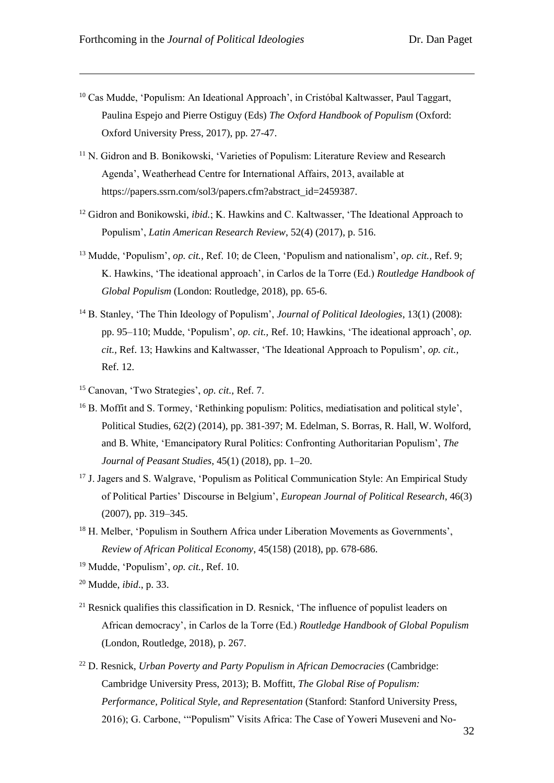- <sup>10</sup> Cas Mudde, 'Populism: An Ideational Approach', in Cristóbal Kaltwasser, Paul Taggart, Paulina Espejo and Pierre Ostiguy (Eds) *The Oxford Handbook of Populism* (Oxford: Oxford University Press, 2017), pp. 27-47.
- <sup>11</sup> N. Gidron and B. Bonikowski, 'Varieties of Populism: Literature Review and Research Agenda', Weatherhead Centre for International Affairs, 2013, available at https://papers.ssrn.com/sol3/papers.cfm?abstract\_id=2459387.
- <sup>12</sup> Gidron and Bonikowski, *ibid.*; K. Hawkins and C. Kaltwasser, 'The Ideational Approach to Populism', *Latin American Research Review*, 52(4) (2017), p. 516.
- <sup>13</sup> Mudde, 'Populism', *op. cit.,* Ref. 10; de Cleen, 'Populism and nationalism', *op. cit.,* Ref. 9; K. Hawkins, 'The ideational approach', in Carlos de la Torre (Ed.) *Routledge Handbook of Global Populism* (London: Routledge, 2018), pp. 65-6.
- <sup>14</sup> B. Stanley, 'The Thin Ideology of Populism', *Journal of Political Ideologies*, 13(1) (2008): pp. 95–110; Mudde, 'Populism', *op. cit.,* Ref. 10; Hawkins, 'The ideational approach', *op. cit.,* Ref. 13; Hawkins and Kaltwasser, 'The Ideational Approach to Populism', *op. cit.,* Ref. 12.
- <sup>15</sup> Canovan, 'Two Strategies', *op. cit.,* Ref. 7.
- <sup>16</sup> B. Moffit and S. Tormey, 'Rethinking populism: Politics, mediatisation and political style', Political Studies, 62(2) (2014), pp. 381-397; M. Edelman, S. Borras, R. Hall, W. Wolford, and B. White, 'Emancipatory Rural Politics: Confronting Authoritarian Populism', *The Journal of Peasant Studies*, 45(1) (2018), pp. 1–20.
- <sup>17</sup> J. Jagers and S. Walgrave, 'Populism as Political Communication Style: An Empirical Study of Political Parties' Discourse in Belgium', *European Journal of Political Research*, 46(3) (2007), pp. 319–345.
- <sup>18</sup> H. Melber, 'Populism in Southern Africa under Liberation Movements as Governments', *Review of African Political Economy*, 45(158) (2018), pp. 678-686.
- <sup>19</sup> Mudde, 'Populism', *op. cit.,* Ref. 10.
- <sup>20</sup> Mudde, *ibid*., p. 33.
- $21$  Resnick qualifies this classification in D. Resnick, 'The influence of populist leaders on African democracy', in Carlos de la Torre (Ed.) *Routledge Handbook of Global Populism* (London, Routledge, 2018), p. 267.
- <sup>22</sup> D. Resnick, *Urban Poverty and Party Populism in African Democracies* (Cambridge: Cambridge University Press, 2013); B. Moffitt, *The Global Rise of Populism: Performance, Political Style, and Representation* (Stanford: Stanford University Press, 2016); G. Carbone, '"Populism" Visits Africa: The Case of Yoweri Museveni and No-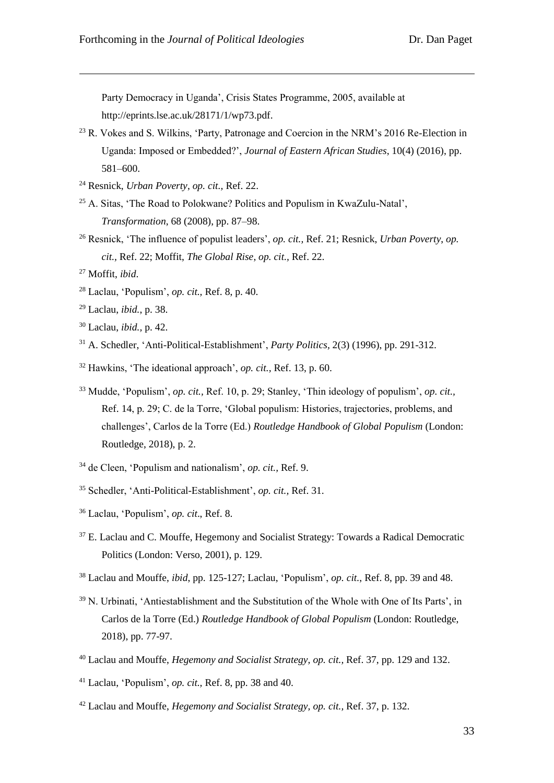Party Democracy in Uganda', Crisis States Programme, 2005, available at http://eprints.lse.ac.uk/28171/1/wp73.pdf.

- <sup>23</sup> R. Vokes and S. Wilkins, 'Party, Patronage and Coercion in the NRM's 2016 Re-Election in Uganda: Imposed or Embedded?', *Journal of Eastern African Studies*, 10(4) (2016), pp. 581–600.
- <sup>24</sup> Resnick, *Urban Poverty*, *op. cit.,* Ref. 22.
- <sup>25</sup> A. Sitas, 'The Road to Polokwane? Politics and Populism in KwaZulu-Natal', *Transformation*, 68 (2008), pp. 87–98.
- <sup>26</sup> Resnick, 'The influence of populist leaders', *op. cit.,* Ref. 21; Resnick, *Urban Poverty*, *op. cit.,* Ref. 22; Moffit, *The Global Rise*, *op. cit.,* Ref. 22.
- <sup>27</sup> Moffit, *ibid*.

- <sup>28</sup> Laclau, 'Populism', *op. cit.,* Ref. 8, p. 40.
- <sup>29</sup> Laclau, *ibid.*, p. 38.
- <sup>30</sup> Laclau, *ibid.,* p. 42.
- <sup>31</sup> A. Schedler, 'Anti-Political-Establishment', *Party Politics,* 2(3) (1996), pp. 291-312.
- <sup>32</sup> Hawkins, 'The ideational approach', *op. cit.,* Ref. 13, p. 60.
- <sup>33</sup> Mudde, 'Populism', *op. cit.,* Ref. 10, p. 29; Stanley, 'Thin ideology of populism', *op. cit.,*  Ref. 14, p. 29; C. de la Torre, 'Global populism: Histories, trajectories, problems, and challenges', Carlos de la Torre (Ed.) *Routledge Handbook of Global Populism* (London: Routledge, 2018), p. 2.
- <sup>34</sup> de Cleen, 'Populism and nationalism', *op. cit.,* Ref. 9.
- <sup>35</sup> Schedler, 'Anti-Political-Establishment', *op. cit.,* Ref. 31.
- <sup>36</sup> Laclau, 'Populism', *op. cit*., Ref. 8.
- <sup>37</sup> E. Laclau and C. Mouffe, Hegemony and Socialist Strategy: Towards a Radical Democratic Politics (London: Verso, 2001), p. 129.
- <sup>38</sup> Laclau and Mouffe, *ibid*, pp. 125-127; Laclau, 'Populism', *op. cit.*, Ref. 8, pp. 39 and 48.
- <sup>39</sup> N. Urbinati, 'Antiestablishment and the Substitution of the Whole with One of Its Parts', in Carlos de la Torre (Ed.) *Routledge Handbook of Global Populism* (London: Routledge, 2018), pp. 77-97.
- <sup>40</sup> Laclau and Mouffe, *Hegemony and Socialist Strategy, op. cit.,* Ref. 37, pp. 129 and 132.
- <sup>41</sup> Laclau, 'Populism', *op. cit.,* Ref. 8, pp. 38 and 40.
- <sup>42</sup> Laclau and Mouffe, *Hegemony and Socialist Strategy, op. cit.,* Ref. 37, p. 132.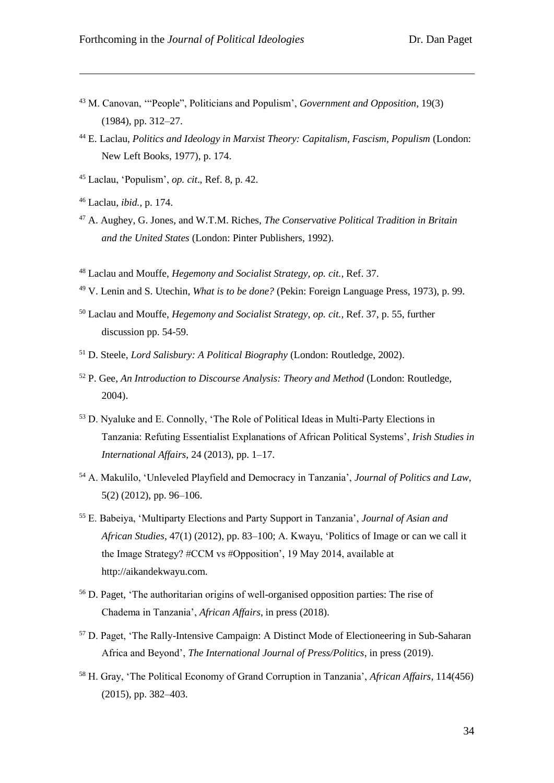- <sup>43</sup> M. Canovan, '"People", Politicians and Populism', *Government and Opposition*, 19(3) (1984), pp. 312–27.
- <sup>44</sup> E. Laclau, *Politics and Ideology in Marxist Theory: Capitalism, Fascism, Populism* (London: New Left Books, 1977), p. 174.
- <sup>45</sup> Laclau, 'Populism', *op. cit*., Ref. 8, p. 42.
- <sup>46</sup> Laclau, *ibid.*, p. 174.

- <sup>47</sup> A. Aughey, G. Jones, and W.T.M. Riches, *The Conservative Political Tradition in Britain and the United States* (London: Pinter Publishers, 1992).
- <sup>48</sup> Laclau and Mouffe, *Hegemony and Socialist Strategy, op. cit.,* Ref. 37.
- <sup>49</sup> V. Lenin and S. Utechin, *What is to be done?* (Pekin: Foreign Language Press, 1973), p. 99.
- <sup>50</sup> Laclau and Mouffe, *Hegemony and Socialist Strategy*, *op. cit.,* Ref. 37, p. 55, further discussion pp. 54-59.
- <sup>51</sup> D. Steele, *Lord Salisbury: A Political Biography* (London: Routledge, 2002).
- <sup>52</sup> P. Gee, *An Introduction to Discourse Analysis: Theory and Method* (London: Routledge, 2004).
- <sup>53</sup> D. Nyaluke and E. Connolly, 'The Role of Political Ideas in Multi-Party Elections in Tanzania: Refuting Essentialist Explanations of African Political Systems', *Irish Studies in International Affairs*, 24 (2013), pp. 1–17.
- <sup>54</sup> A. Makulilo, 'Unleveled Playfield and Democracy in Tanzania', *Journal of Politics and Law*, 5(2) (2012), pp. 96–106.
- <sup>55</sup> E. Babeiya, 'Multiparty Elections and Party Support in Tanzania', *Journal of Asian and African Studies*, 47(1) (2012), pp. 83–100; A. Kwayu, 'Politics of Image or can we call it the Image Strategy? #CCM vs #Opposition', 19 May 2014, available at http://aikandekwayu.com.
- <sup>56</sup> D. Paget, 'The authoritarian origins of well-organised opposition parties: The rise of Chadema in Tanzania', *African Affairs*, in press (2018).
- <sup>57</sup> D. Paget, 'The Rally-Intensive Campaign: A Distinct Mode of Electioneering in Sub-Saharan Africa and Beyond', *The International Journal of Press/Politics*, in press (2019).
- <sup>58</sup> H. Gray, 'The Political Economy of Grand Corruption in Tanzania', *African Affairs*, 114(456) (2015), pp. 382–403.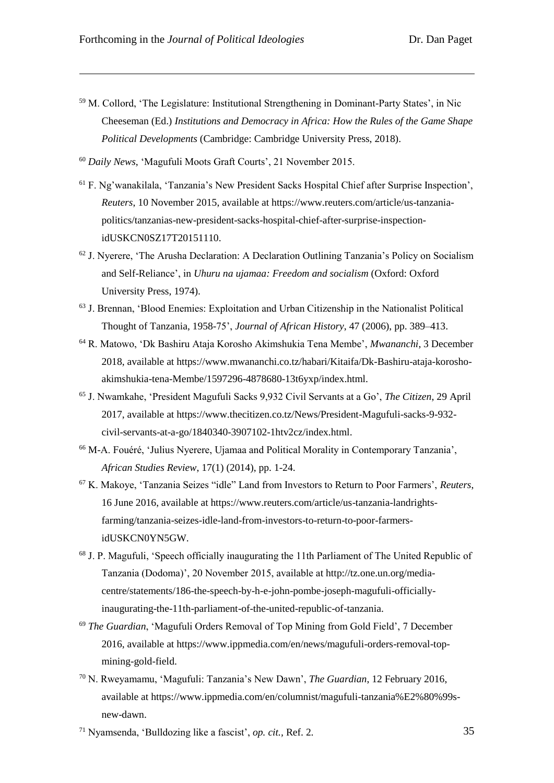- <sup>59</sup> M. Collord, 'The Legislature: Institutional Strengthening in Dominant-Party States', in Nic Cheeseman (Ed.) *Institutions and Democracy in Africa: How the Rules of the Game Shape Political Developments* (Cambridge: Cambridge University Press, 2018).
- <sup>60</sup> *Daily News*, 'Magufuli Moots Graft Courts', 21 November 2015.
- <sup>61</sup> F. Ng'wanakilala, 'Tanzania's New President Sacks Hospital Chief after Surprise Inspection', *Reuters*, 10 November 2015, available at https://www.reuters.com/article/us-tanzaniapolitics/tanzanias-new-president-sacks-hospital-chief-after-surprise-inspectionidUSKCN0SZ17T20151110.
- <sup>62</sup> J. Nyerere, 'The Arusha Declaration: A Declaration Outlining Tanzania's Policy on Socialism and Self-Reliance', in *Uhuru na ujamaa: Freedom and socialism* (Oxford: Oxford University Press, 1974).
- <sup>63</sup> J. Brennan, 'Blood Enemies: Exploitation and Urban Citizenship in the Nationalist Political Thought of Tanzania, 1958-75', *Journal of African History*, 47 (2006), pp. 389–413.
- <sup>64</sup> R. Matowo, 'Dk Bashiru Ataja Korosho Akimshukia Tena Membe', *Mwananchi*, 3 December 2018, available at https://www.mwananchi.co.tz/habari/Kitaifa/Dk-Bashiru-ataja-koroshoakimshukia-tena-Membe/1597296-4878680-13t6yxp/index.html.
- <sup>65</sup> J. Nwamkahe, 'President Magufuli Sacks 9,932 Civil Servants at a Go', *The Citizen*, 29 April 2017, available at https://www.thecitizen.co.tz/News/President-Magufuli-sacks-9-932 civil-servants-at-a-go/1840340-3907102-1htv2cz/index.html.
- <sup>66</sup> M-A. Fouéré, 'Julius Nyerere, Ujamaa and Political Morality in Contemporary Tanzania', *African Studies Review*, 17(1) (2014), pp. 1-24.
- <sup>67</sup> K. Makoye, 'Tanzania Seizes "idle" Land from Investors to Return to Poor Farmers', *Reuters*, 16 June 2016, available at https://www.reuters.com/article/us-tanzania-landrightsfarming/tanzania-seizes-idle-land-from-investors-to-return-to-poor-farmersidUSKCN0YN5GW.
- <sup>68</sup> J. P. Magufuli, 'Speech officially inaugurating the 11th Parliament of The United Republic of Tanzania (Dodoma)', 20 November 2015, available at http://tz.one.un.org/mediacentre/statements/186-the-speech-by-h-e-john-pombe-joseph-magufuli-officiallyinaugurating-the-11th-parliament-of-the-united-republic-of-tanzania.
- <sup>69</sup> *The Guardian*, 'Magufuli Orders Removal of Top Mining from Gold Field', 7 December 2016, available at https://www.ippmedia.com/en/news/magufuli-orders-removal-topmining-gold-field.
- <sup>70</sup> N. Rweyamamu, 'Magufuli: Tanzania's New Dawn', *The Guardian*, 12 February 2016, available at https://www.ippmedia.com/en/columnist/magufuli-tanzania%E2%80%99snew-dawn.
- <sup>71</sup> Nyamsenda, 'Bulldozing like a fascist', *op. cit.,* Ref. 2.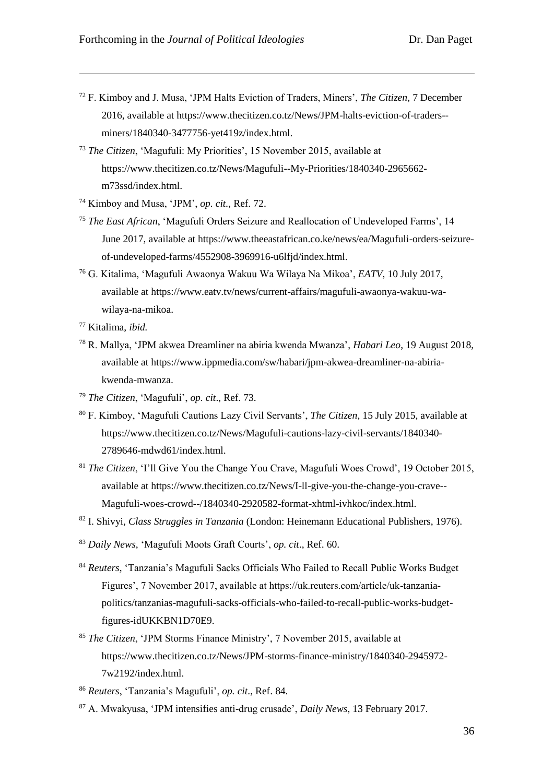- <sup>72</sup> F. Kimboy and J. Musa, 'JPM Halts Eviction of Traders, Miners', *The Citizen*, 7 December 2016, available at https://www.thecitizen.co.tz/News/JPM-halts-eviction-of-traders- miners/1840340-3477756-yet419z/index.html.
- <sup>73</sup> *The Citizen*, 'Magufuli: My Priorities', 15 November 2015, available at https://www.thecitizen.co.tz/News/Magufuli--My-Priorities/1840340-2965662 m73ssd/index.html.
- <sup>74</sup> Kimboy and Musa, 'JPM', *op. cit.,* Ref. 72.
- <sup>75</sup> *The East African*, 'Magufuli Orders Seizure and Reallocation of Undeveloped Farms', 14 June 2017, available at https://www.theeastafrican.co.ke/news/ea/Magufuli-orders-seizureof-undeveloped-farms/4552908-3969916-u6lfjd/index.html.
- <sup>76</sup> G. Kitalima, 'Magufuli Awaonya Wakuu Wa Wilaya Na Mikoa', *EATV*, 10 July 2017, available at https://www.eatv.tv/news/current-affairs/magufuli-awaonya-wakuu-wawilaya-na-mikoa.
- <sup>77</sup> Kitalima, *ibid.*

- <sup>78</sup> R. Mallya, 'JPM akwea Dreamliner na abiria kwenda Mwanza', *Habari Leo*, 19 August 2018, available at https://www.ippmedia.com/sw/habari/jpm-akwea-dreamliner-na-abiriakwenda-mwanza.
- <sup>79</sup> *The Citizen*, 'Magufuli', *op. cit*., Ref. 73.
- <sup>80</sup> F. Kimboy, 'Magufuli Cautions Lazy Civil Servants', *The Citizen*, 15 July 2015, available at https://www.thecitizen.co.tz/News/Magufuli-cautions-lazy-civil-servants/1840340- 2789646-mdwd61/index.html.
- <sup>81</sup> *The Citizen*, 'I'll Give You the Change You Crave, Magufuli Woes Crowd', 19 October 2015, available at https://www.thecitizen.co.tz/News/I-ll-give-you-the-change-you-crave-- Magufuli-woes-crowd--/1840340-2920582-format-xhtml-ivhkoc/index.html.
- <sup>82</sup> I. Shivyi, *Class Struggles in Tanzania* (London: Heinemann Educational Publishers, 1976).
- <sup>83</sup> *Daily News*, 'Magufuli Moots Graft Courts', *op. cit*., Ref. 60.
- <sup>84</sup> *Reuters*, 'Tanzania's Magufuli Sacks Officials Who Failed to Recall Public Works Budget Figures', 7 November 2017, available at https://uk.reuters.com/article/uk-tanzaniapolitics/tanzanias-magufuli-sacks-officials-who-failed-to-recall-public-works-budgetfigures-idUKKBN1D70E9.
- <sup>85</sup> *The Citizen*, 'JPM Storms Finance Ministry', 7 November 2015, available at https://www.thecitizen.co.tz/News/JPM-storms-finance-ministry/1840340-2945972- 7w2192/index.html.
- <sup>86</sup> *Reuters*, 'Tanzania's Magufuli', *op. cit*., Ref. 84.
- <sup>87</sup> A. Mwakyusa, 'JPM intensifies anti-drug crusade', *Daily News*, 13 February 2017.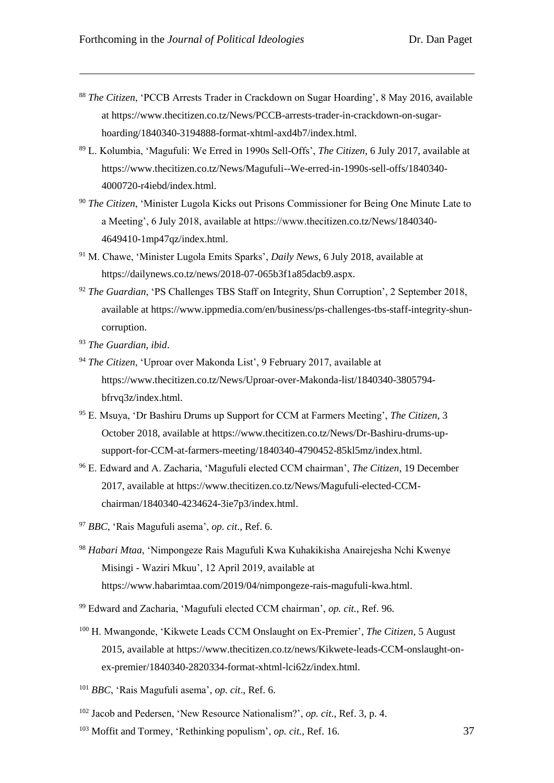- <sup>88</sup> *The Citizen*, 'PCCB Arrests Trader in Crackdown on Sugar Hoarding', 8 May 2016, available at https://www.thecitizen.co.tz/News/PCCB-arrests-trader-in-crackdown-on-sugarhoarding/1840340-3194888-format-xhtml-axd4b7/index.html.
- <sup>89</sup> L. Kolumbia, 'Magufuli: We Erred in 1990s Sell-Offs', *The Citizen*, 6 July 2017, available at https://www.thecitizen.co.tz/News/Magufuli--We-erred-in-1990s-sell-offs/1840340- 4000720-r4iebd/index.html.
- <sup>90</sup> *The Citizen*, 'Minister Lugola Kicks out Prisons Commissioner for Being One Minute Late to a Meeting', 6 July 2018, available at https://www.thecitizen.co.tz/News/1840340- 4649410-1mp47qz/index.html.
- <sup>91</sup> M. Chawe, 'Minister Lugola Emits Sparks', *Daily News*, 6 July 2018, available at https://dailynews.co.tz/news/2018-07-065b3f1a85dacb9.aspx.
- <sup>92</sup> *The Guardian*, 'PS Challenges TBS Staff on Integrity, Shun Corruption', 2 September 2018, available at https://www.ippmedia.com/en/business/ps-challenges-tbs-staff-integrity-shuncorruption.
- <sup>93</sup> *The Guardian*, *ibid*.

- <sup>94</sup> *The Citizen*, 'Uproar over Makonda List', 9 February 2017, available at https://www.thecitizen.co.tz/News/Uproar-over-Makonda-list/1840340-3805794 bfrvq3z/index.html.
- <sup>95</sup> E. Msuya, 'Dr Bashiru Drums up Support for CCM at Farmers Meeting', *The Citizen*, 3 October 2018, available at https://www.thecitizen.co.tz/News/Dr-Bashiru-drums-upsupport-for-CCM-at-farmers-meeting/1840340-4790452-85kl5mz/index.html.
- <sup>96</sup> E. Edward and A. Zacharia, 'Magufuli elected CCM chairman', *The Citizen*, 19 December 2017, available at https://www.thecitizen.co.tz/News/Magufuli-elected-CCMchairman/1840340-4234624-3ie7p3/index.html.
- <sup>97</sup> *BBC*, 'Rais Magufuli asema', *op. cit*., Ref. 6.
- <sup>98</sup> *Habari Mtaa*, 'Nimpongeze Rais Magufuli Kwa Kuhakikisha Anairejesha Nchi Kwenye Misingi - Waziri Mkuu', 12 April 2019, available at https://www.habarimtaa.com/2019/04/nimpongeze-rais-magufuli-kwa.html.
- <sup>99</sup> Edward and Zacharia, 'Magufuli elected CCM chairman', *op. cit.,* Ref. 96.
- <sup>100</sup> H. Mwangonde, 'Kikwete Leads CCM Onslaught on Ex-Premier', *The Citizen*, 5 August 2015, available at https://www.thecitizen.co.tz/news/Kikwete-leads-CCM-onslaught-onex-premier/1840340-2820334-format-xhtml-lci62z/index.html.
- <sup>101</sup> *BBC*, 'Rais Magufuli asema', *op. cit*., Ref. 6.
- <sup>102</sup> Jacob and Pedersen, 'New Resource Nationalism?', *op. cit*., Ref. 3, p. 4.
- <sup>103</sup> Moffit and Tormey, 'Rethinking populism', *op. cit.,* Ref. 16.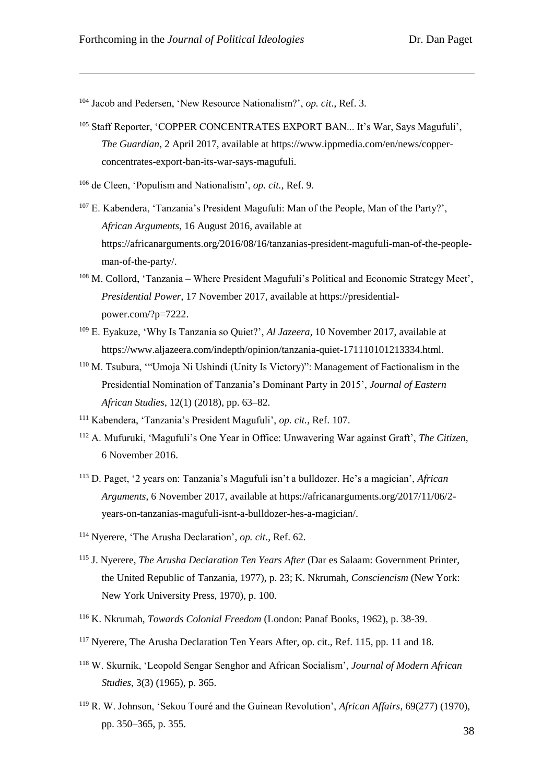<sup>104</sup> Jacob and Pedersen, 'New Resource Nationalism?', *op. cit*., Ref. 3.

- <sup>105</sup> Staff Reporter, 'COPPER CONCENTRATES EXPORT BAN... It's War, Says Magufuli', *The Guardian*, 2 April 2017, available at https://www.ippmedia.com/en/news/copperconcentrates-export-ban-its-war-says-magufuli.
- <sup>106</sup> de Cleen, 'Populism and Nationalism', *op. cit.,* Ref. 9.
- <sup>107</sup> E. Kabendera, 'Tanzania's President Magufuli: Man of the People, Man of the Party?', *African Arguments*, 16 August 2016, available at https://africanarguments.org/2016/08/16/tanzanias-president-magufuli-man-of-the-peopleman-of-the-party/.
- <sup>108</sup> M. Collord, 'Tanzania Where President Magufuli's Political and Economic Strategy Meet', *Presidential Power*, 17 November 2017, available at https://presidentialpower.com/?p=7222.
- <sup>109</sup> E. Eyakuze, 'Why Is Tanzania so Quiet?', *Al Jazeera*, 10 November 2017, available at https://www.aljazeera.com/indepth/opinion/tanzania-quiet-171110101213334.html.
- <sup>110</sup> M. Tsubura, '"Umoja Ni Ushindi (Unity Is Victory)": Management of Factionalism in the Presidential Nomination of Tanzania's Dominant Party in 2015', *Journal of Eastern African Studies*, 12(1) (2018), pp. 63–82.
- <sup>111</sup> Kabendera, 'Tanzania's President Magufuli', *op. cit.,* Ref. 107.
- <sup>112</sup> A. Mufuruki, 'Magufuli's One Year in Office: Unwavering War against Graft', *The Citizen,* 6 November 2016.
- <sup>113</sup> D. Paget, '2 years on: Tanzania's Magufuli isn't a bulldozer. He's a magician', *African Arguments*, 6 November 2017, available at https://africanarguments.org/2017/11/06/2 years-on-tanzanias-magufuli-isnt-a-bulldozer-hes-a-magician/.
- <sup>114</sup> Nyerere, 'The Arusha Declaration', *op. cit*., Ref. 62.
- <sup>115</sup> J. Nyerere, *The Arusha Declaration Ten Years After* (Dar es Salaam: Government Printer, the United Republic of Tanzania, 1977), p. 23; K. Nkrumah, *Consciencism* (New York: New York University Press, 1970), p. 100.
- <sup>116</sup> K. Nkrumah, *Towards Colonial Freedom* (London: Panaf Books, 1962), p. 38-39.
- <sup>117</sup> Nyerere, The Arusha Declaration Ten Years After, op. cit., Ref. 115, pp. 11 and 18.
- <sup>118</sup> W. Skurnik, 'Leopold Sengar Senghor and African Socialism', *Journal of Modern African Studies*, 3(3) (1965), p. 365.
- <sup>119</sup> R. W. Johnson, 'Sekou Touré and the Guinean Revolution', *African Affairs*, 69(277) (1970), pp. 350–365, p. 355.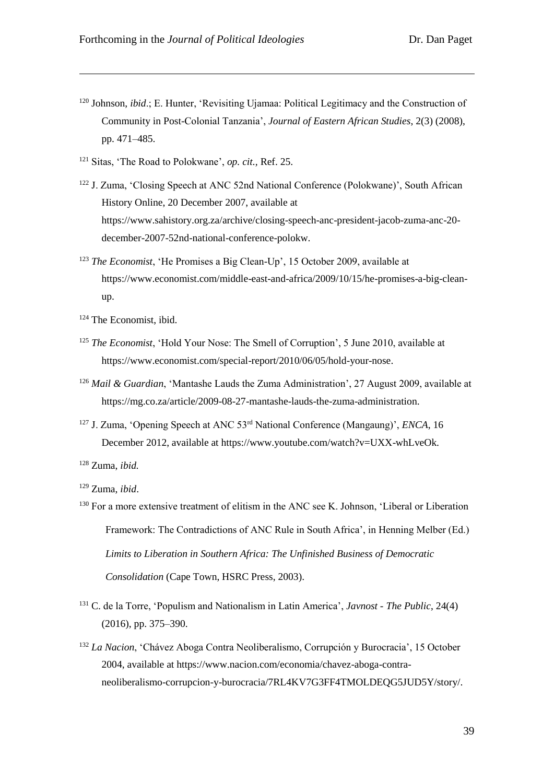- <sup>120</sup> Johnson, *ibid*.; E. Hunter, 'Revisiting Ujamaa: Political Legitimacy and the Construction of Community in Post-Colonial Tanzania', *Journal of Eastern African Studies*, 2(3) (2008), pp. 471–485.
- <sup>121</sup> Sitas, 'The Road to Polokwane', *op. cit.,* Ref. 25.
- <sup>122</sup> J. Zuma, 'Closing Speech at ANC 52nd National Conference (Polokwane)', South African History Online, 20 December 2007, available at https://www.sahistory.org.za/archive/closing-speech-anc-president-jacob-zuma-anc-20 december-2007-52nd-national-conference-polokw.
- <sup>123</sup> *The Economist*, 'He Promises a Big Clean-Up', 15 October 2009, available at https://www.economist.com/middle-east-and-africa/2009/10/15/he-promises-a-big-cleanup.
- <sup>124</sup> The Economist, ibid.

- <sup>125</sup> *The Economist*, 'Hold Your Nose: The Smell of Corruption', 5 June 2010, available at https://www.economist.com/special-report/2010/06/05/hold-your-nose.
- <sup>126</sup> *Mail & Guardian*, 'Mantashe Lauds the Zuma Administration', 27 August 2009, available at https://mg.co.za/article/2009-08-27-mantashe-lauds-the-zuma-administration.
- <sup>127</sup> J. Zuma, 'Opening Speech at ANC 53rd National Conference (Mangaung)', *ENCA*, 16 December 2012, available at https://www.youtube.com/watch?v=UXX-whLveOk.
- <sup>128</sup> Zuma, *ibid.*
- <sup>129</sup> Zuma, *ibid*.
- <sup>130</sup> For a more extensive treatment of elitism in the ANC see K. Johnson, 'Liberal or Liberation Framework: The Contradictions of ANC Rule in South Africa', in Henning Melber (Ed.) *Limits to Liberation in Southern Africa: The Unfinished Business of Democratic Consolidation* (Cape Town, HSRC Press, 2003).
- <sup>131</sup> C. de la Torre, 'Populism and Nationalism in Latin America', *Javnost - The Public*, 24(4) (2016), pp. 375–390.
- <sup>132</sup> *La Nacion*, 'Chávez Aboga Contra Neoliberalismo, Corrupción y Burocracia', 15 October 2004, available at https://www.nacion.com/economia/chavez-aboga-contraneoliberalismo-corrupcion-y-burocracia/7RL4KV7G3FF4TMOLDEQG5JUD5Y/story/.